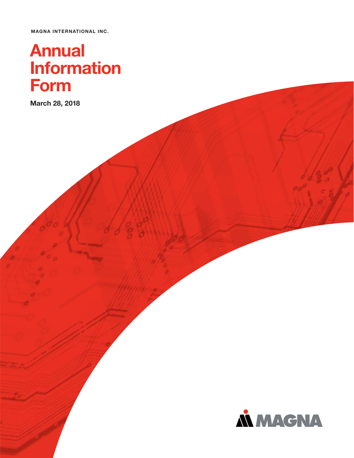**MAGNA INTERNATIONAL INC.**

# **Annual Form**

**Form March 28, 2018**

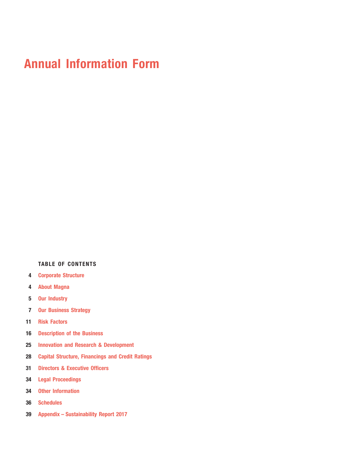## **Annual Information Form**

### **TABLE OF CONTENTS**

- **Corporate Structure**
- **About Magna**
- **Our Industry**
- **Our Business Strategy**
- **Risk Factors**
- **Description of the Business**
- **Innovation and Research & Development**
- **Capital Structure, Financings and Credit Ratings**
- **Directors & Executive Officers**
- **Legal Proceedings**
- **Other Information**
- **Schedules**
- **Appendix Sustainability Report 2017**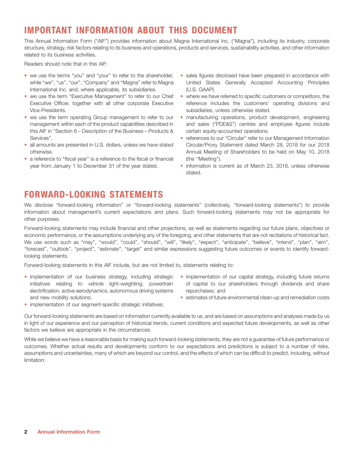## **IMPORTANT INFORMATION ABOUT THIS DOCUMENT**

This Annual Information Form (''AIF'') provides information about Magna International Inc. (''Magna''), including its industry, corporate structure, strategy, risk factors relating to its business and operations, products and services, sustainability activities, and other information related to its business activities.

Readers should note that in this AIF:

- we use the terms "you" and "your" to refer to the shareholder, sales figures disclosed have been prepared in accordance with International Inc. and, where applicable, its subsidiaries. (U.S. GAAP).
- Vice-Presidents. subsidiaries, unless otherwise stated. • we use the term "Executive Management" to refer to our Chief
- this AIF in "Section 6 Description of the Business Products & certain equity-accounted operations. • we use the term operating Group management to refer to our
- all amounts are presented in U.S. dollars, unless we have stated Circular/Proxy Statement dated March 28, 2018 for our 2018
- a reference to "fiscal year" is a reference to the fiscal or financial (the "Meeting").
- while "we", "us", "our", "Company" and "Magna" refer to Magna United States Generally Accepted Accounting Principles
- where we have referred to specific customers or competitors, the Executive Officer, together with all other corporate Executive reference includes the customers' operating divisions and
- manufacturing operations, product development, engineering management within each of the product capabilities described in and sales (''PDE&S'') centres and employee figures include
- Services". The same of the services of the services of the services of the services of the services of the services of the services of the services of the services of the services of the services of the services of the ser otherwise. Annual Meeting of Shareholders to be held on May 10, 2018
- year from January 1 to December 31 of the year stated. **information is current as of March 23**, 2018, unless otherwise stated.

## **FORWARD-LOOKING STATEMENTS**

We disclose ''forward-looking information'' or ''forward-looking statements'' (collectively, ''forward-looking statements'') to provide information about management's current expectations and plans. Such forward-looking statements may not be appropriate for other purposes.

Forward-looking statements may include financial and other projections, as well as statements regarding our future plans, objectives or economic performance, or the assumptions underlying any of the foregoing, and other statements that are not recitations of historical fact. We use words such as "may", "would", "could", "should", "will", "likely", "expect", "anticipate", "believe", "intend", "plan", "aim", ''forecast'', ''outlook'', ''project'', ''estimate'', ''target'' and similar expressions suggesting future outcomes or events to identify forwardlooking statements.

Forward-looking statements in this AIF include, but are not limited to, statements relating to:

- electrification, active aerodynamics, autonomous driving systems repurchases; and and new mobility solutions; estimates of future environmental clean-up and remediation costs • implementation of our business strategy, including strategic
- implementation of our capital strategy, including future returns initiatives relating to vehicle light-weighting; powertrain of capital to our shareholders through dividends and share
	-
- implementation of our segment-specific strategic initiatives;

Our forward-looking statements are based on information currently available to us, and are based on assumptions and analyses made by us in light of our experience and our perception of historical trends, current conditions and expected future developments, as well as other factors we believe are appropriate in the circumstances.

While we believe we have a reasonable basis for making such forward-looking statements, they are not a guarantee of future performance or outcomes. Whether actual results and developments conform to our expectations and predictions is subject to a number of risks, assumptions and uncertainties, many of which are beyond our control, and the effects of which can be difficult to predict, including, without limitation: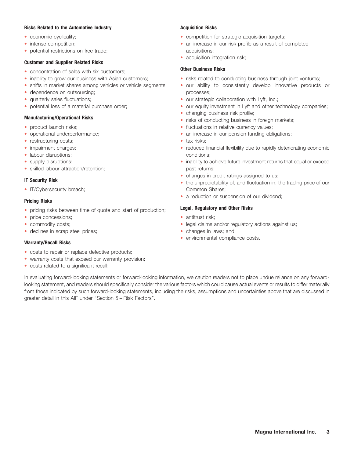#### **Risks Related to the Automotive Industry Acquisition Risks Acquisition Risks**

- economic cyclicality;
- intense competition;
- potential restrictions on free trade; acquisitions; acquisitions;

#### **Customer and Supplier Related Risks**

- concentration of sales with six customers; **business Risks Other Business Risks**
- inability to grow our business with Asian customers;
- shifts in market shares among vehicles or vehicle segments;
- dependence on outsourcing; example the processes;
- quarterly sales fluctuations;
- potential loss of a material purchase order;

- product launch risks;
- operational underperformance;
- restructuring costs; extending the state of tax risks;
- impairment charges;
- labour disruptions; extending the state of the conditions; conditions;
- supply disruptions;
- skilled labour attraction/retention; example and the state past returns;

• IT/Cybersecurity breach; Common Shares; Common Shares; Common Shares; Common Shares; Common Shares; Common Shares; Common Shares; Common Shares; Common Shares; Common Shares; Common Shares; Common Shares; Common Shares;

- pricing risks between time of quote and start of production; **Legal, Regulatory and Other Risks**
- price concessions; and the set of the set of the set of the set of the set of the set of the set of the set of the set of the set of the set of the set of the set of the set of the set of the set of the set of the set of
- commodity costs;
- declines in scrap steel prices; extending the state of the changes in laws; and

- costs to repair or replace defective products;
- warranty costs that exceed our warranty provision;
- costs related to a significant recall;

- competition for strategic acquisition targets;
- an increase in our risk profile as a result of completed
- acquisition integration risk;

- risks related to conducting business through joint ventures;
- **•** our ability to consistently develop innovative products or
- our strategic collaboration with Lyft, Inc.;
- our equity investment in Lyft and other technology companies;
- changing business risk profile;
- manufacturing/Operational Risks **and State of Conductional Conduction** of the changing business risk profile;<br>Figures in foreign markets; when the conduction of the conducting business in foreign markets; when the conducti
	- $\bullet$  fluctuations in relative currency values;
	- an increase in our pension funding obligations;
	-
	- reduced financial flexibility due to rapidly deteriorating economic
	- inability to achieve future investment returns that equal or exceed
	- changes in credit ratings assigned to us;
- T Security Risk **The United States of Conservation Conservation** Changes in credit ratings assigned to us;<br>• the unpredictability of, and fluctuation in, the trading price of our
- a reduction or suspension of our dividend; **Pricing Risks** •

- 
- legal claims and/or regulatory actions against us;
- 
- **environmental compliance costs. Warranty/Recall Risks**

In evaluating forward-looking statements or forward-looking information, we caution readers not to place undue reliance on any forwardlooking statement, and readers should specifically consider the various factors which could cause actual events or results to differ materially from those indicated by such forward-looking statements, including the risks, assumptions and uncertainties above that are discussed in greater detail in this AIF under ''Section 5 – Risk Factors''.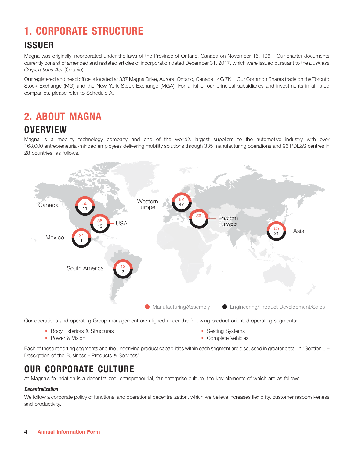## **1. CORPORATE STRUCTURE**

## **ISSUER**

Magna was originally incorporated under the laws of the Province of Ontario, Canada on November 16, 1961. Our charter documents currently consist of amended and restated articles of incorporation dated December 31, 2017, which were issued pursuant to the *Business Corporations Act* (Ontario).

Our registered and head office is located at 337 Magna Drive, Aurora, Ontario, Canada L4G 7K1. Our Common Shares trade on the Toronto Stock Exchange (MG) and the New York Stock Exchange (MGA). For a list of our principal subsidiaries and investments in affiliated companies, please refer to Schedule A.

## **2. ABOUT MAGNA**

## **OVERVIEW**

Magna is a mobility technology company and one of the world's largest suppliers to the automotive industry with over 168,000 entrepreneurial-minded employees delivering mobility solutions through 335 manufacturing operations and 96 PDE&S centres in 28 countries, as follows.



Our operations and operating Group management are aligned under the following product-oriented operating segments:

- Body Exteriors & Structures **Seating Systems** Seating Systems
- 

• Power & Vision

• Complete Vehicles

Each of these reporting segments and the underlying product capabilities within each segment are discussed in greater detail in ''Section 6 – Description of the Business – Products & Services''.

## **OUR CORPORATE CULTURE**

At Magna's foundation is a decentralized, entrepreneurial, fair enterprise culture, the key elements of which are as follows.

### *Decentralization*

We follow a corporate policy of functional and operational decentralization, which we believe increases flexibility, customer responsiveness and productivity.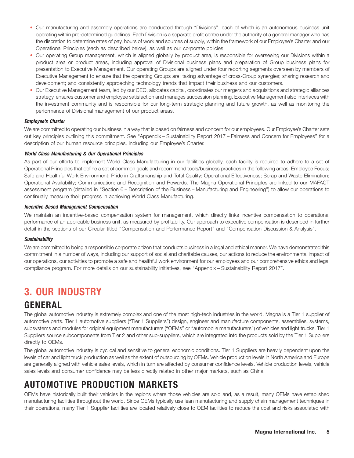- Our manufacturing and assembly operations are conducted through "Divisions", each of which is an autonomous business unit operating within pre-determined guidelines. Each Division is a separate profit centre under the authority of a general manager who has the discretion to determine rates of pay, hours of work and sources of supply, within the framework of our Employee's Charter and our Operational Principles (each as described below), as well as our corporate policies.
- Our operating Group management, which is aligned globally by product area, is responsible for overseeing our Divisions within a product area or product areas, including approval of Divisional business plans and preparation of Group business plans for presentation to Executive Management. Our operating Groups are aligned under four reporting segments overseen by members of Executive Management to ensure that the operating Groups are: taking advantage of cross-Group synergies; sharing research and development; and consistently approaching technology trends that impact their business and our customers.
- Our Executive Management team, led by our CEO, allocates capital, coordinates our mergers and acquisitions and strategic alliances strategy, ensures customer and employee satisfaction and manages succession planning. Executive Management also interfaces with the investment community and is responsible for our long-term strategic planning and future growth, as well as monitoring the performance of Divisional management of our product areas. •

### *Employee's Charter*

We are committed to operating our business in a way that is based on fairness and concern for our employees. Our Employee's Charter sets out key principles outlining this commitment. See ''Appendix – Sustainability Report 2017 – Fairness and Concern for Employees'' for a description of our human resource principles, including our Employee's Charter.

#### *World Class Manufacturing & Our Operational Principles*

As part of our efforts to implement World Class Manufacturing in our facilities globally, each facility is required to adhere to a set of Operational Principles that define a set of common goals and recommend tools/business practices in the following areas: Employee Focus; Safe and Healthful Work Environment; Pride in Craftsmanship and Total Quality; Operational Effectiveness; Scrap and Waste Elimination; Operational Availability; Communication; and Recognition and Rewards. The Magna Operational Principles are linked to our MAFACT assessment program (detailed in ''Section 6 – Description of the Business – Manufacturing and Engineering'') to allow our operations to continually measure their progress in achieving World Class Manufacturing.

#### *Incentive-Based Management Compensation*

We maintain an incentive-based compensation system for management, which directly links incentive compensation to operational performance of an applicable business unit, as measured by profitability. Our approach to executive compensation is described in further detail in the sections of our Circular titled ''Compensation and Performance Report'' and ''Compensation Discussion & Analysis''.

#### *Sustainability*

We are committed to being a responsible corporate citizen that conducts business in a legal and ethical manner. We have demonstrated this commitment in a number of ways, including our support of social and charitable causes, our actions to reduce the environmental impact of our operations, our activities to promote a safe and healthful work environment for our employees and our comprehensive ethics and legal compliance program. For more details on our sustainability initiatives, see ''Appendix – Sustainability Report 2017''.

## **3. OUR INDUSTRY**

## **GENERAL**

The global automotive industry is extremely complex and one of the most high-tech industries in the world. Magna is a Tier 1 supplier of automotive parts. Tier 1 automotive suppliers (''Tier 1 Suppliers'') design, engineer and manufacture components, assemblies, systems, subsystems and modules for original equipment manufacturers (''OEMs'' or ''automobile manufacturers'') of vehicles and light trucks. Tier 1 Suppliers source subcomponents from Tier 2 and other sub-suppliers, which are integrated into the products sold by the Tier 1 Suppliers directly to OEMs.

The global automotive industry is cyclical and sensitive to general economic conditions. Tier 1 Suppliers are heavily dependent upon the levels of car and light truck production as well as the extent of outsourcing by OEMs. Vehicle production levels in North America and Europe are generally aligned with vehicle sales levels, which in turn are affected by consumer confidence levels. Vehicle production levels, vehicle sales levels and consumer confidence may be less directly related in other major markets, such as China.

## **AUTOMOTIVE PRODUCTION MARKETS**

OEMs have historically built their vehicles in the regions where those vehicles are sold and, as a result, many OEMs have established manufacturing facilities throughout the world. Since OEMs typically use lean manufacturing and supply chain management techniques in their operations, many Tier 1 Supplier facilities are located relatively close to OEM facilities to reduce the cost and risks associated with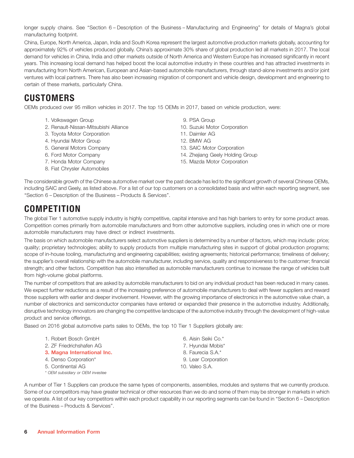longer supply chains. See ''Section 6 – Description of the Business – Manufacturing and Engineering'' for details of Magna's global manufacturing footprint.

China, Europe, North America, Japan, India and South Korea represent the largest automotive production markets globally, accounting for approximately 92% of vehicles produced globally. China's approximate 30% share of global production led all markets in 2017. The local demand for vehicles in China, India and other markets outside of North America and Western Europe has increased significantly in recent years. This increasing local demand has helped boost the local automotive industry in these countries and has attracted investments in manufacturing from North American, European and Asian-based automobile manufacturers, through stand-alone investments and/or joint ventures with local partners. There has also been increasing migration of component and vehicle design, development and engineering to certain of these markets, particularly China.

## **CUSTOMERS**

OEMs produced over 95 million vehicles in 2017. The top 15 OEMs in 2017, based on vehicle production, were:

- 1. Volkswagen Group 1. Volkswagen Group
- 2. Renault-Nissan-Mitsubishi Alliance 10. Suzuki Motor Corporation
- 3. Toyota Motor Corporation 11. Daimler AG
- 4. Hyundai Motor Group 12. BMW AG
- 
- 
- 
- 8. Fiat Chrysler Automobiles
- 
- 
- 
- 
- 5. General Motors Company 13. SAIC Motor Corporation
- 6. Ford Motor Company 14. Zhejiang Geely Holding Group
- 7. Honda Motor Company 15. Mazda Motor Corporation

The considerable growth of the Chinese automotive market over the past decade has led to the significant growth of several Chinese OEMs, including SAIC and Geely, as listed above. For a list of our top customers on a consolidated basis and within each reporting segment, see ''Section 6 – Description of the Business – Products & Services''.

## **COMPETITION**

The global Tier 1 automotive supply industry is highly competitive, capital intensive and has high barriers to entry for some product areas. Competition comes primarily from automobile manufacturers and from other automotive suppliers, including ones in which one or more automobile manufacturers may have direct or indirect investments.

The basis on which automobile manufacturers select automotive suppliers is determined by a number of factors, which may include: price; quality; proprietary technologies; ability to supply products from multiple manufacturing sites in support of global production programs; scope of in-house tooling, manufacturing and engineering capabilities; existing agreements; historical performance; timeliness of delivery; the supplier's overall relationship with the automobile manufacturer, including service, quality and responsiveness to the customer; financial strength; and other factors. Competition has also intensified as automobile manufacturers continue to increase the range of vehicles built from high-volume global platforms.

The number of competitors that are asked by automobile manufacturers to bid on any individual product has been reduced in many cases. We expect further reductions as a result of the increasing preference of automobile manufacturers to deal with fewer suppliers and reward those suppliers with earlier and deeper involvement. However, with the growing importance of electronics in the automotive value chain, a number of electronics and semiconductor companies have entered or expanded their presence in the automotive industry. Additionally, disruptive technology innovators are changing the competitive landscape of the automotive industry through the development of high-value product and service offerings.

Based on 2016 global automotive parts sales to OEMs, the top 10 Tier 1 Suppliers globally are:

| 1. Robert Bosch GmbH             | 6. Aisin Seiki Co.* |
|----------------------------------|---------------------|
| 2. ZF Friedrichshafen AG         | 7. Hyundai Mobis*   |
| 3. Magna International Inc.      | 8. Faurecia S.A.*   |
| 4. Denso Corporation*            | 9. Lear Corporation |
| 5. Continental AG                | 10. Valeo S.A.      |
| * OEM subsidiary or OEM investee |                     |

A number of Tier 1 Suppliers can produce the same types of components, assemblies, modules and systems that we currently produce. Some of our competitors may have greater technical or other resources than we do and some of them may be stronger in markets in which we operate. A list of our key competitors within each product capability in our reporting segments can be found in "Section 6 – Description of the Business – Products & Services''.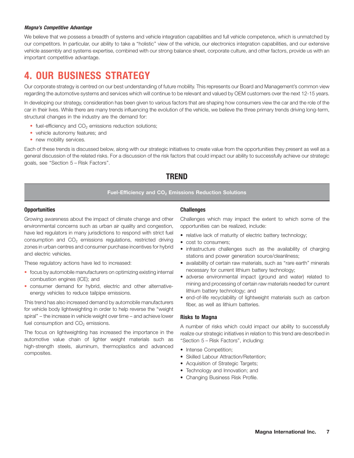#### *Magna's Competitive Advantage*

We believe that we possess a breadth of systems and vehicle integration capabilities and full vehicle competence, which is unmatched by our competitors. In particular, our ability to take a ''holistic'' view of the vehicle, our electronics integration capabilities, and our extensive vehicle assembly and systems expertise, combined with our strong balance sheet, corporate culture, and other factors, provide us with an important competitive advantage.

## **4. OUR BUSINESS STRATEGY**

Our corporate strategy is centred on our best understanding of future mobility. This represents our Board and Management's common view regarding the automotive systems and services which will continue to be relevant and valued by OEM customers over the next 12-15 years.

In developing our strategy, consideration has been given to various factors that are shaping how consumers view the car and the role of the car in their lives. While there are many trends influencing the evolution of the vehicle, we believe the three primary trends driving long-term, structural changes in the industry are the demand for:

- fuel-efficiency and  $CO<sub>2</sub>$  emissions reduction solutions;
- vehicle autonomy features; and
- new mobility services.

Each of these trends is discussed below, along with our strategic initiatives to create value from the opportunities they present as well as a general discussion of the related risks. For a discussion of the risk factors that could impact our ability to successfully achieve our strategic goals, see ''Section 5 – Risk Factors''.

### **TREND**

#### Fuel-Efficiency and CO<sub>2</sub> Emissions Reduction Solutions

#### **Opportunities Challenges** Challenges

environmental concerns such as urban air quality and congestion, opportunities can be realized, include: have led regulators in many jurisdictions to respond with strict fuel consumption and  $CO<sub>2</sub>$  emissions regulations, restricted driving zones in urban centres and consumer purchase incentives for hybrid and electric vehicles.

These regulatory actions have led to increased:

- focus by automobile manufacturers on optimizing existing internal
- · consumer demand for hybrid, electric and other alternative-

This trend has also increased demand by automobile manufacturers for vehicle body lightweighting in order to help reverse the ''weight spiral'' – the increase in vehicle weight over time – and achieve lower fuel consumption and  $CO<sub>2</sub>$  emissions.<br>A number of risks which could impact our ability to successfully

The focus on lightweighting has increased the importance in the realize our strategic initiatives in relation to this trend are described in automotive value chain of lighter weight materials such as ''Section 5 – Risk Factors'', including: high-strength steels, aluminum, thermoplastics and advanced composites.

Growing awareness about the impact of climate change and other Challenges which may impact the extent to which some of the

- relative lack of maturity of electric battery technology;
- cost to consumers;
- infrastructure challenges such as the availability of charging stations and power generation source/cleanliness;
- availability of certain raw materials, such as "rare earth" minerals
- Focus by automobile manufacturers on optimizing existing internal<br>
combustion engines (ICE); and<br>
consumer demand for hybrid, electric and other alternative-<br>
energy vehicles to reduce tailpipe emissions.<br>
energy vehicles
	- fiber, as well as lithium batteries.

#### **Risks to Magna**

- Intense Competition;
- Skilled Labour Attraction/Retention;
- Acquisition of Strategic Targets;
- Technology and Innovation; and
- Changing Business Risk Profile.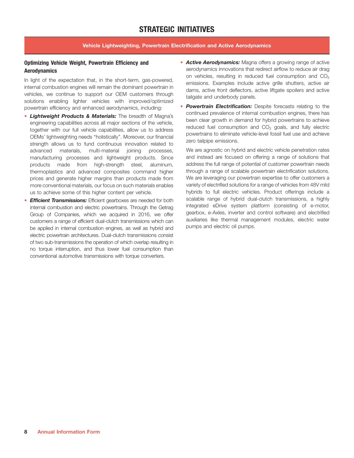## **STRATEGIC INITIATIVES**

### **Vehicle Lightweighting, Powertrain Electrification and Active Aerodynamics**

In light of the expectation that, in the short-term, gas-powered, internal combustion engines will remain the dominant powertrain in vehicles, we continue to support our OEM customers through solutions enabling lighter vehicles with improved/optimized • powertrain efficiency and enhanced aerodynamics, including:

- **Lightweight Products & Materials:** The breadth of Magna's<br>
engineering capabilities across all major sections of the vehicle,<br>
together with our full vehicle capabilities, allow us to address<br>
OEMs' lightweighting needs " advanced materials, multi-material joining processes, manufacturing processes and lightweight products. Since products made from high-strength steel, aluminum, thermoplastics and advanced composites command higher prices and generate higher margins than products made from more conventional materials, our focus on such materials enables us to achieve some of this higher content per vehicle. • Lightweight Products & Materials: The breadth of Magna's
- internal combustion and electric powertrains. Through the Getrag Group of Companies, which we acquired in 2016, we offer customers a range of efficient dual-clutch transmissions which can be applied in internal combustion engines, as well as hybrid and electric powertrain architectures. Dual-clutch transmissions consist of two sub-transmissions the operation of which overlap resulting in no torque interruption, and thus lower fuel consumption than conventional automotive transmissions with torque converters.
- **Optimizing Vehicle Weight, Powertrain Efficiency and <b>Active Aerodynamics:** Magna offers a growing range of active aerodynamics innovations that redirect airflow to reduce air drag **Aerodynamics** on vehicles, resulting in reduced fuel consumption and  $CO<sub>2</sub>$ emissions. Examples include active grille shutters, active air dams, active front deflectors, active liftgate spoilers and active tailgate and underbody panels.
	- *Powertrain Electrification:* Despite forecasts relating to the

**Efficient Transmissions:** Efficient gearboxes are needed for both scalable range of hybrid dual-clutch transmissions, a highly We are agnostic on hybrid and electric vehicle penetration rates and instead are focused on offering a range of solutions that address the full range of potential of customer powertrain needs through a range of scalable powertrain electrification solutions. We are leveraging our powertrain expertise to offer customers a variety of electrified solutions for a range of vehicles from 48V mild hybrids to full electric vehicles. Product offerings include a integrated eDrive system platform (consisting of e-motor, gearbox, e-Axles, inverter and control software) and electrified auxiliaries like thermal management modules, electric water pumps and electric oil pumps.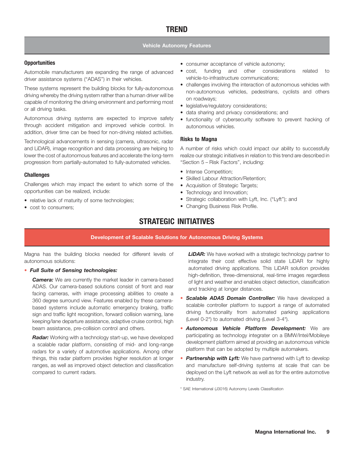#### **Vehicle Autonomy Features**

Automobile manufacturers are expanding the range of advanced driver assistance systems ("ADAS") in their vehicles.

These systems represent the building blocks for fully-autonomous driving whereby the driving system rather than a human driver will be capable of monitoring the driving environment and performing most or all driving tasks.

Autonomous driving systems are expected to improve safety through accident mitigation and improved vehicle control. In addition, driver time can be freed for non-driving related activities.

Technological advancements in sensing (camera, ultrasonic, radar and LiDAR), image recognition and data processing are helping to A number of risks which could impact our ability to successfully lower the cost of autonomous features and accelerate the long-term realize our strategic initiatives in relation to this trend are described in progression from partially-automated to fully-automated vehicles. ''Section 5 – Risk Factors'', including:

Challenges which may impact the extent to which some of the opportunities can be realized, include:

- relative lack of maturity of some technologies; The Strategic collaboration with Lyft, Inc. ("Lyft"); and
- 
- **Opportunities COPPORTUNITIES • COPPORTUNITIES • COPPORTUNITIES • consumer acceptance of vehicle autonomy;** 
	- cost, funding and other considerations related to vehicle-to-infrastructure communications;
	- challenges involving the interaction of autonomous vehicles with non-autonomous vehicles, pedestrians, cyclists and others on roadways;
	- legislative/regulatory considerations;
	- data sharing and privacy considerations; and
	- functionality of cybersecurity software to prevent hacking of autonomous vehicles.

#### **Risks to Magna**

- 
- Intense Competition; **Challenges** Skilled Labour Attraction/Retention;
	- Acquisition of Strategic Targets;
	- Technology and Innovation;
	-
- cost to consumers; extending the cost to consumers; extending cost to consumers; extending  $\blacksquare$

## **STRATEGIC INITIATIVES**

#### **Development of Scalable Solutions for Autonomous Driving Systems**

Magna has the building blocks needed for different levels of *LiDAR:* We have worked with a strategic technology partner to autonomous solutions: integrate their cost effective solid state LiDAR for highly

### *Full Suite of Sensing technologies:*

• **Full Suite of Sensing technologies:**<br> **Camera:** We are currently the market leader in camera-based<br>
ADAS. Our camera-based solutions consist of front and rear<br>
facing cameras, with image processing abilities to create a based systems include automatic emergency braking, traffic sign and traffic light recognition, forward collision warning, lane keeping/lane departure assistance, adaptive cruise control, high beam assistance, pre-collision control and others.

*Radar:* Working with a technology start-up, we have developed a scalable radar platform, consisting of mid- and long-range radars for a variety of automotive applications. Among other things, this radar platform provides higher resolution at longer • ranges, as well as improved object detection and classification compared to current radars.

- *Scalable ADAS Domain Controller:* We have developed a scalable controller platform to support a range of automated driving functionality from automated parking applications (Level 0-2\*) to automated driving (Level 3-4\*).
- *Autonomous Vehicle Platform Development:* We are participating as technology integrater on a BMW/Intel/Mobileye development platform aimed at providing an autonomous vehicle platform that can be adopted by multiple automakers.
- **Partnership with Lyft:** We have partnered with Lyft to develop and manufacture self-driving systems at scale that can be deployed on the Lyft network as well as for the entire automotive industry.

\* SAE International (J3016) Autonomy Levels Classification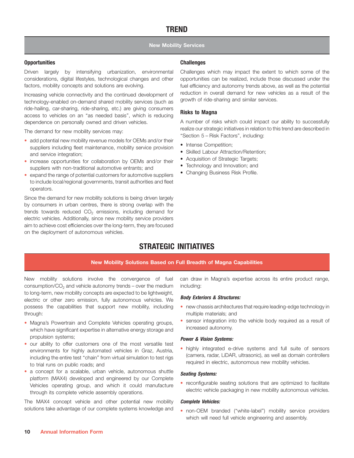#### **New Mobility Services**

#### **Opportunities Challenges**

considerations, digital lifestyles, technological changes and other opportunities can be realized, include those discussed under the factors, mobility concepts and solutions are evolving. The fuel efficiency and autonomy trends above, as well as the potential

technology-enabled on-demand shared mobility services (such as ride-hailing, car-sharing, ride-sharing, etc.) are giving consumers access to vehicles on an ''as needed basis'', which is reducing dependence on personally owned and driven vehicles. A number of risks which could impact our ability to successfully

- add potential new mobility revenue models for OEMs and/or their<br>suppliers including fleet maintenance, mobility service provision<br>and service integration;<br>increase opportunities for collaboration by OEMs and/or their<br>suppl
- increase opportunities for collaboration by OEMs and/or their
- to include local/regional governments, transit authorities and fleet operators. • expand the range of potential customers for automotive suppliers

Since the demand for new mobility solutions is being driven largely by consumers in urban centres, there is strong overlap with the trends towards reduced  $CO<sub>2</sub>$  emissions, including demand for electric vehicles. Additionally, since new mobility service providers aim to achieve cost efficiencies over the long-term, they are focused on the deployment of autonomous vehicles.

Driven largely by intensifying urbanization, environmental Challenges which may impact the extent to which some of the Increasing vehicle connectivity and the continued development of reduction in overall demand for new vehicles as a result of the tochnology-onabled on-demand shared mobility sensions (such as growth of ride-sharing and sim

#### **Risks to Magna**

The demand for new mobility services may:<br>
• add potential new mobility revenue models for OEMs and/or their<br>
• Intense Competition;<br>
• Intense Competition;

- 
- 
- 
- 
- 

## **STRATEGIC INITIATIVES**

#### **New Mobility Solutions Based on Full Breadth of Magna Capabilities**

consumption/ $CO<sub>2</sub>$  and vehicle autonomy trends – over the medium including: to long-term, new mobility concepts are expected to be lightweight, electric or other zero emission, fully autonomous vehicles. We possess the capabilities that support new mobility, including through:

- Magna's Powertrain and Complete Vehicles operating groups,
- propulsion systems;<br>
our ability to offer customers one of the most versatile test<br>
environments for highly automated vehicles in Graz, Austria,<br>
including the entire test "chain" from virtual simulation to test rigs<br>
to t • our ability to offer customers one of the most versatile test<br>environments for highly automated vehicles in Graz, Austria, • highly integrated e-drive systems and full suite of sensors
- a concept for a scalable, urban venicle, autonomous shulle<br>platform (MAX4) developed and engineered by our Complete<br>Vehicles operating group, and which it could manufacture<br>through its complete vehicle assembly operations. · a concept for a scalable, urban vehicle, autonomous shuttle

The MAX4 concept vehicle and other potential new mobility solutions take advantage of our complete systems knowledge and

New mobility solutions involve the convergence of fuel can draw in Magna's expertise across its entire product range,

#### *Body Exteriors & Structures:*

- new chassis architectures that require leading-edge technology in multiple materials; and
- Magna's Powertrain and Complete Vehicles operating groups, sensor integration into the vehicle body required as a result of which have significant expertise in alternative energy storage and increased autonomy.

• reconfigurable seating solutions that are optimized to facilitate

#### *Complete Vehicles:*

• non-OEM branded ("white-label") mobility service providers which will need full vehicle engineering and assembly.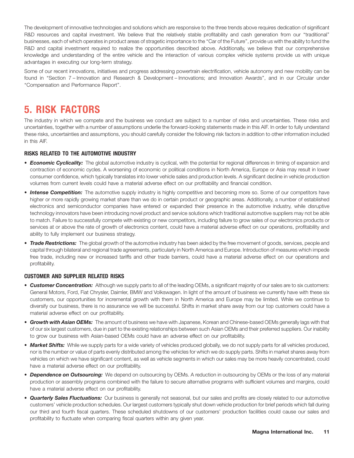The development of innovative technologies and solutions which are responsive to the three trends above requires dedication of significant R&D resources and capital investment. We believe that the relatively stable profitability and cash generation from our ''traditional'' businesses, each of which operates in product areas of stragetic importance to the ''Car of the Future'', provide us with the ability to fund the R&D and capital investment required to realize the opportunities described above. Additionally, we believe that our comprehensive knowledge and understanding of the entire vehicle and the interaction of various complex vehicle systems provide us with unique advantages in executing our long-term strategy.

Some of our recent innovations, initiatives and progress addressing powertrain electrification, vehicle autonomy and new mobility can be found in ''Section 7 – Innovation and Research & Development – Innovations; and Innovation Awards'', and in our Circular under ''Compensation and Performance Report''.

## **5. RISK FACTORS**

The industry in which we compete and the business we conduct are subject to a number of risks and uncertainties. These risks and uncertainties, together with a number of assumptions underlie the forward-looking statements made in this AIF. In order to fully understand these risks, uncertainties and assumptions, you should carefully consider the following risk factors in addition to other information included in this AIF.

### **RISKS RELATED TO THE AUTOMOTIVE INDUSTRY**

- *Economic Cyclicality:* The global automotive industry is cyclical, with the potential for regional differences in timing of expansion and contraction of economic cycles. A worsening of economic or political conditions in North America, Europe or Asia may result in lower consumer confidence, which typically translates into lower vehicle sales and production levels. A significant decline in vehicle production volumes from current levels could have a material adverse effect on our profitability and financial condition.
- *Intense Competition:* The automotive supply industry is highly competitive and becoming more so. Some of our competitors have higher or more rapidly growing market share than we do in certain product or geographic areas. Additionally, a number of established electronics and semiconductor companies have entered or expanded their presence in the automotive industry, while disruptive technology innovators have been introducing novel product and service solutions which traditional automotive suppliers may not be able to match. Failure to successfully compete with existing or new competitors, including failure to grow sales of our electronics products or services at or above the rate of growth of electronics content, could have a material adverse effect on our operations, profitability and ability to fully implement our business strategy.
- *Trade Restrictions:* The global growth of the automotive industry has been aided by the free movement of goods, services, people and capital through bilateral and regional trade agreements, particularly in North America and Europe. Introduction of measures which impede free trade, including new or increased tariffs and other trade barriers, could have a material adverse effect on our operations and profitability.

### **CUSTOMER AND SUPPLIER RELATED RISKS**

- *Customer Concentration:* Although we supply parts to all of the leading OEMs, a significant majority of our sales are to six customers: General Motors, Ford, Fiat Chrysler, Daimler, BMW and Volkswagen. In light of the amount of business we currently have with these six customers, our opportunities for incremental growth with them in North America and Europe may be limited. While we continue to diversify our business, there is no assurance we will be successful. Shifts in market share away from our top customers could have a material adverse effect on our profitability.
- *Growth with Asian OEMs:* The amount of business we have with Japanese, Korean and Chinese-based OEMs generally lags with that of our six largest customers, due in part to the existing relationships between such Asian OEMs and their preferred suppliers. Our inability to grow our business with Asian-based OEMs could have an adverse effect on our profitability.
- *Market Shifts:* While we supply parts for a wide variety of vehicles produced globally, we do not supply parts for all vehicles produced, nor is the number or value of parts evenly distributed among the vehicles for which we do supply parts. Shifts in market shares away from vehicles on which we have significant content, as well as vehicle segments in which our sales may be more heavily concentrated, could have a material adverse effect on our profitability.
- *Dependence on Outsourcing:* We depend on outsourcing by OEMs. A reduction in outsourcing by OEMs or the loss of any material production or assembly programs combined with the failure to secure alternative programs with sufficient volumes and margins, could have a material adverse effect on our profitability.
- *Quarterly Sales Fluctuations:* Our business is generally not seasonal, but our sales and profits are closely related to our automotive customers' vehicle production schedules. Our largest customers typically shut down vehicle production for brief periods which fall during our third and fourth fiscal quarters. These scheduled shutdowns of our customers' production facilities could cause our sales and profitability to fluctuate when comparing fiscal quarters within any given year.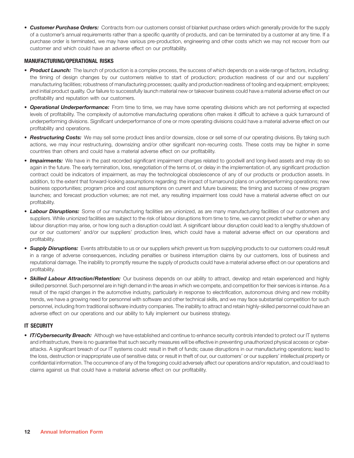• *Customer Purchase Orders:* Contracts from our customers consist of blanket purchase orders which generally provide for the supply of a customer's annual requirements rather than a specific quantity of products, and can be terminated by a customer at any time. If a purchase order is terminated, we may have various pre-production, engineering and other costs which we may not recover from our customer and which could have an adverse effect on our profitability.

### **MANUFACTURING/OPERATIONAL RISKS**

- *Product Launch:* The launch of production is a complex process, the success of which depends on a wide range of factors, including: the timing of design changes by our customers relative to start of production; production readiness of our and our suppliers' manufacturing facilities; robustness of manufacturing processes; quality and production readiness of tooling and equipment; employees; and initial product quality. Our failure to successfully launch material new or takeover business could have a material adverse effect on our profitability and reputation with our customers.
- *Operational Underperformance:* From time to time, we may have some operating divisions which are not performing at expected levels of profitability. The complexity of automotive manufacturing operations often makes it difficult to achieve a quick turnaround of underperforming divisions. Significant underperformance of one or more operating divisions could have a material adverse effect on our profitability and operations.
- *Restructuring Costs:* We may sell some product lines and/or downsize, close or sell some of our operating divisions. By taking such actions, we may incur restructuring, downsizing and/or other significant non-recurring costs. These costs may be higher in some countries than others and could have a material adverse effect on our profitability.
- *Impairments:* We have in the past recorded significant impairment charges related to goodwill and long-lived assets and may do so again in the future. The early termination, loss, renegotiation of the terms of, or delay in the implementation of, any significant production contract could be indicators of impairment, as may the technological obsolescence of any of our products or production assets. In addition, to the extent that forward-looking assumptions regarding: the impact of turnaround plans on underperforming operations; new business opportunities; program price and cost assumptions on current and future business; the timing and success of new program launches; and forecast production volumes; are not met, any resulting impairment loss could have a material adverse effect on our profitability.
- *Labour Disruptions:* Some of our manufacturing facilities are unionized, as are many manufacturing facilities of our customers and suppliers. While unionized facilities are subject to the risk of labour disruptions from time to time, we cannot predict whether or when any labour disruption may arise, or how long such a disruption could last. A significant labour disruption could lead to a lengthy shutdown of our or our customers' and/or our suppliers' production lines, which could have a material adverse effect on our operations and profitability.
- *Supply Disruptions:* Events attributable to us or our suppliers which prevent us from supplying products to our customers could result in a range of adverse consequences, including penalties or business interruption claims by our customers, loss of business and reputational damage. The inability to promptly resume the supply of products could have a material adverse effect on our operations and profitability.
- *Skilled Labour Attraction/Retention:* Our business depends on our ability to attract, develop and retain experienced and highly skilled personnel. Such personnel are in high demand in the areas in which we compete, and competition for their services is intense. As a result of the rapid changes in the automotive industry, particularly in response to electrification, autonomous driving and new mobility trends, we have a growing need for personnel with software and other technical skills, and we may face substantial competition for such personnel, including from traditional software industry companies. The inability to attract and retain highly-skilled personnel could have an adverse effect on our operations and our ability to fully implement our business strategy.

#### **IT SECURITY**

• *IT/Cybersecurity Breach:* Although we have established and continue to enhance security controls intended to protect our IT systems and infrastructure, there is no guarantee that such security measures will be effective in preventing unauthorized physical access or cyberattacks. A significant breach of our IT systems could: result in theft of funds; cause disruptions in our manufacturing operations; lead to the loss, destruction or inappropriate use of sensitive data; or result in theft of our, our customers' or our suppliers' intellectual property or confidential information. The occurrence of any of the foregoing could adversely affect our operations and/or reputation, and could lead to claims against us that could have a material adverse effect on our profitability.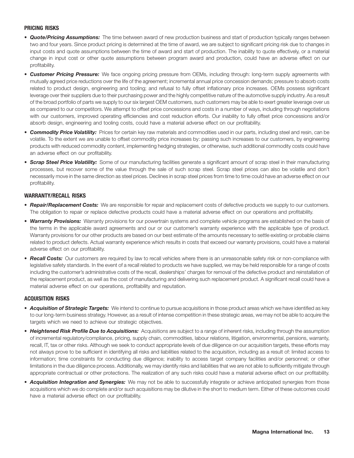#### **PRICING RISKS**

- *Quote/Pricing Assumptions:* The time between award of new production business and start of production typically ranges between two and four years. Since product pricing is determined at the time of award, we are subject to significant pricing risk due to changes in input costs and quote assumptions between the time of award and start of production. The inability to quote effectively, or a material change in input cost or other quote assumptions between program award and production, could have an adverse effect on our profitability.
- *Customer Pricing Pressure:* We face ongoing pricing pressure from OEMs, including through: long-term supply agreements with mutually agreed price reductions over the life of the agreement; incremental annual price concession demands; pressure to absorb costs related to product design, engineering and tooling; and refusal to fully offset inflationary price increases. OEMs possess significant leverage over their suppliers due to their purchasing power and the highly competitive nature of the automotive supply industry. As a result of the broad portfolio of parts we supply to our six largest OEM customers, such customers may be able to exert greater leverage over us as compared to our competitors. We attempt to offset price concessions and costs in a number of ways, including through negotiations with our customers, improved operating efficiencies and cost reduction efforts. Our inability to fully offset price concessions and/or absorb design, engineering and tooling costs, could have a material adverse effect on our profitability.
- *Commodity Price Volatility:* Prices for certain key raw materials and commodities used in our parts, including steel and resin, can be volatile. To the extent we are unable to offset commodity price increases by: passing such increases to our customers, by engineering products with reduced commodity content, implementing hedging strategies, or otherwise, such additional commodity costs could have an adverse effect on our profitability.
- *Scrap Steel Price Volatility:* Some of our manufacturing facilities generate a significant amount of scrap steel in their manufacturing processes, but recover some of the value through the sale of such scrap steel. Scrap steel prices can also be volatile and don't necessarily move in the same direction as steel prices. Declines in scrap steel prices from time to time could have an adverse effect on our profitability.

#### **WARRANTY/RECALL RISKS**

- *Repair/Replacement Costs:* We are responsible for repair and replacement costs of defective products we supply to our customers. The obligation to repair or replace defective products could have a material adverse effect on our operations and profitability.
- *Warranty Provisions:* Warranty provisions for our powertrain systems and complete vehicle programs are established on the basis of the terms in the applicable award agreements and our or our customer's warranty experience with the applicable type of product. Warranty provisions for our other products are based on our best estimate of the amounts necessary to settle existing or probable claims related to product defects. Actual warranty experience which results in costs that exceed our warranty provisions, could have a material adverse effect on our profitability.
- *Recall Costs:* Our customers are required by law to recall vehicles where there is an unreasonable safety risk or non-compliance with legislative safety standards. In the event of a recall related to products we have supplied, we may be held responsible for a range of costs including the customer's administrative costs of the recall, dealerships' charges for removal of the defective product and reinstallation of the replacement product, as well as the cost of manufacturing and delivering such replacement product. A significant recall could have a material adverse effect on our operations, profitability and reputation.

#### **ACQUISITION RISKS**

- *Acquisition of Strategic Targets:* We intend to continue to pursue acquisitions in those product areas which we have identified as key to our long-term business strategy. However, as a result of intense competition in these strategic areas, we may not be able to acquire the targets which we need to achieve our strategic objectives.
- *Heightened Risk Profile Due to Acquisitions:* Acquisitions are subject to a range of inherent risks, including through the assumption of incremental regulatory/compliance, pricing, supply chain, commodities, labour relations, litigation, environmental, pensions, warranty, recall, IT, tax or other risks. Although we seek to conduct appropriate levels of due diligence on our acquisition targets, these efforts may not always prove to be sufficient in identifying all risks and liabilities related to the acquisition, including as a result of: limited access to information; time constraints for conducting due diligence; inability to access target company facilities and/or personnel; or other limitations in the due diligence process. Additionally, we may identify risks and liabilities that we are not able to sufficiently mitigate through appropriate contractual or other protections. The realization of any such risks could have a material adverse effect on our profitability.
- *Acquisition Integration and Synergies:* We may not be able to successfully integrate or achieve anticipated synergies from those acquisitions which we do complete and/or such acquisitions may be dilutive in the short to medium term. Either of these outcomes could have a material adverse effect on our profitability.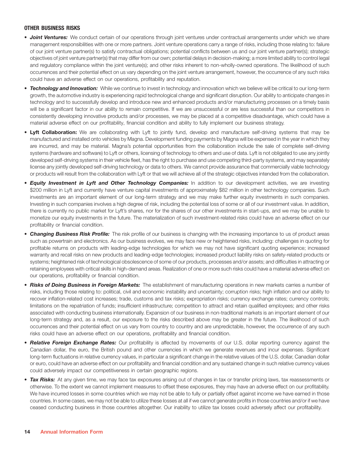#### **OTHER BUSINESS RISKS**

- *Joint Ventures:* We conduct certain of our operations through joint ventures under contractual arrangements under which we share management responsibilities with one or more partners. Joint venture operations carry a range of risks, including those relating to: failure of our joint venture partner(s) to satisfy contractual obligations; potential conflicts between us and our joint venture partner(s); strategic objectives of joint venture partner(s) that may differ from our own; potential delays in decision-making; a more limited ability to control legal and regulatory compliance within the joint venture(s); and other risks inherent to non-wholly-owned operations. The likelihood of such occurrences and their potential effect on us vary depending on the joint venture arrangement, however, the occurrence of any such risks could have an adverse effect on our operations, profitability and reputation.
- *Technology and Innovation:* While we continue to invest in technology and innovation which we believe will be critical to our long-term growth, the automotive industry is experiencing rapid technological change and significant disruption. Our ability to anticipate changes in technology and to successfully develop and introduce new and enhanced products and/or manufacturing processes on a timely basis will be a significant factor in our ability to remain competitive. If we are unsuccessful or are less successful than our competitors in consistently developing innovative products and/or processes, we may be placed at a competitive disadvantage, which could have a material adverse effect on our profitability, financial condition and ability to fully implement our business strategy.
- **Lyft Collaboration:** We are collaborating with Lyft to jointly fund, develop and manufacture self-driving systems that may be manufactured and installed onto vehicles by Magna. Development funding payments by Magna will be expensed in the year in which they are incurred, and may be material. Magna's potential opportunities from the collaboration include the sale of complete self-driving systems (hardware and software) to Lyft or others, licensing of technology to others and use of data. Lyft is not obligated to use any jointly developed self-driving systems in their vehicle fleet, has the right to purchase and use competing third-party systems, and may separately license any jointly developed self-driving technology or data to others. We cannot provide assurance that commercially viable technology or products will result from the collaboration with Lyft or that we will achieve all of the strategic objectives intended from the collaboration.
- *Equity Investment in Lyft and Other Technology Companies:* In addition to our development activities, we are investing \$200 million in Lyft and currently have venture capital investments of approximately \$82 million in other technology companies. Such investments are an important element of our long-term strategy and we may make further equity investments in such companies. Investing in such companies involves a high degree of risk, including the potential loss of some or all of our investment value. In addition, there is currently no public market for Lyft's shares, nor for the shares of our other investments in start-ups, and we may be unable to monetize our equity investments in the future. The materialization of such investment-related risks could have an adverse effect on our profitability or financial condition.
- *Changing Business Risk Profile:* The risk profile of our business is changing with the increasing importance to us of product areas such as powertrain and electronics. As our business evolves, we may face new or heightened risks, including: challenges in quoting for profitable returns on products with leading-edge technologies for which we may not have significant quoting experience; increased warranty and recall risks on new products and leading-edge technologies; increased product liability risks on safety-related products or systems; heightened risk of technological obsolescence of some of our products, processes and/or assets; and difficulties in attracting or retaining employees with critical skills in high-demand areas. Realization of one or more such risks could have a material adverse effect on our operations, profitability or financial condition.
- *Risks of Doing Business in Foreign Markets:* The establishment of manufacturing operations in new markets carries a number of risks, including those relating to: political, civil and economic instability and uncertainty; corruption risks; high inflation and our ability to recover inflation-related cost increases; trade, customs and tax risks; expropriation risks; currency exchange rates; currency controls; limitations on the repatriation of funds; insufficient infrastructure; competition to attract and retain qualified employees; and other risks associated with conducting business internationally. Expansion of our business in non-traditional markets is an important element of our long-term strategy and, as a result, our exposure to the risks described above may be greater in the future. The likelihood of such occurrences and their potential effect on us vary from country to country and are unpredictable, however, the occurrence of any such risks could have an adverse effect on our operations, profitability and financial condition.
- *Relative Foreign Exchange Rates:* Our profitability is affected by movements of our U.S. dollar reporting currency against the Canadian dollar, the euro, the British pound and other currencies in which we generate revenues and incur expenses. Significant long-term fluctuations in relative currency values, in particular a significant change in the relative values of the U.S. dollar, Canadian dollar or euro, could have an adverse effect on our profitability and financial condition and any sustained change in such relative currency values could adversely impact our competitiveness in certain geographic regions.
- *Tax Risks:* At any given time, we may face tax exposures arising out of changes in tax or transfer pricing laws, tax reassessments or otherwise. To the extent we cannot implement measures to offset these exposures, they may have an adverse effect on our profitability. We have incurred losses in some countries which we may not be able to fully or partially offset against income we have earned in those countries. In some cases, we may not be able to utilize these losses at all if we cannot generate profits in those countries and/or if we have ceased conducting business in those countries altogether. Our inability to utilize tax losses could adversely affect our profitability.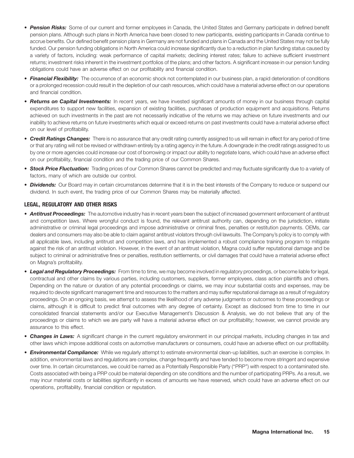- *Pension Risks:* Some of our current and former employees in Canada, the United States and Germany participate in defined benefit pension plans. Although such plans in North America have been closed to new participants, existing participants in Canada continue to accrue benefits. Our defined benefit pension plans in Germany are not funded and plans in Canada and the United States may not be fully funded. Our pension funding obligations in North America could increase significantly due to a reduction in plan funding status caused by a variety of factors, including: weak performance of capital markets; declining interest rates; failure to achieve sufficient investment returns; investment risks inherent in the investment portfolios of the plans; and other factors. A significant increase in our pension funding obligations could have an adverse effect on our profitability and financial condition.
- *Financial Flexibility:* The occurrence of an economic shock not contemplated in our business plan, a rapid deterioration of conditions or a prolonged recession could result in the depletion of our cash resources, which could have a material adverse effect on our operations and financial condition.
- *Returns on Capital Investments:* In recent years, we have invested significant amounts of money in our business through capital expenditures to support new facilities, expansion of existing facilities, purchases of production equipment and acquisitions. Returns achieved on such investments in the past are not necessarily indicative of the returns we may achieve on future investments and our inability to achieve returns on future investments which equal or exceed returns on past investments could have a material adverse effect on our level of profitability.
- *Credit Ratings Changes:* There is no assurance that any credit rating currently assigned to us will remain in effect for any period of time or that any rating will not be revised or withdrawn entirely by a rating agency in the future. A downgrade in the credit ratings assigned to us by one or more agencies could increase our cost of borrowing or impact our ability to negotiate loans, which could have an adverse effect on our profitability, financial condition and the trading price of our Common Shares.
- **Stock Price Fluctuation:** Trading prices of our Common Shares cannot be predicted and may fluctuate significantly due to a variety of factors, many of which are outside our control.
- *Dividends:* Our Board may in certain circumstances determine that it is in the best interests of the Company to reduce or suspend our dividend. In such event, the trading price of our Common Shares may be materially affected.

### **LEGAL, REGULATORY AND OTHER RISKS**

- *Antitrust Proceedings:* The automotive industry has in recent years been the subject of increased government enforcement of antitrust and competition laws. Where wrongful conduct is found, the relevant antitrust authority can, depending on the jurisdiction, initiate administrative or criminal legal proceedings and impose administrative or criminal fines, penalties or restitution payments. OEMs, car dealers and consumers may also be able to claim against antitrust violators through civil lawsuits. The Company's policy is to comply with all applicable laws, including antitrust and competition laws, and has implemented a robust compliance training program to mitigate against the risk of an antitrust violation. However, in the event of an antitrust violation, Magna could suffer reputational damage and be subject to criminal or administrative fines or penalties, restitution settlements, or civil damages that could have a material adverse effect on Magna's profitability.
- *Legal and Regulatory Proceedings:* From time to time, we may become involved in regulatory proceedings, or become liable for legal, contractual and other claims by various parties, including customers, suppliers, former employees, class action plaintiffs and others. Depending on the nature or duration of any potential proceedings or claims, we may incur substantial costs and expenses, may be required to devote significant management time and resources to the matters and may suffer reputational damage as a result of regulatory proceedings. On an ongoing basis, we attempt to assess the likelihood of any adverse judgments or outcomes to these proceedings or claims, although it is difficult to predict final outcomes with any degree of certainty. Except as disclosed from time to time in our consolidated financial statements and/or our Executive Management's Discussion & Analysis, we do not believe that any of the proceedings or claims to which we are party will have a material adverse effect on our profitability; however, we cannot provide any assurance to this effect.
- *Changes in Laws:* A significant change in the current regulatory environment in our principal markets, including changes in tax and other laws which impose additional costs on automotive manufacturers or consumers, could have an adverse effect on our profitability.
- *Environmental Compliance:* While we regularly attempt to estimate environmental clean-up liabilities, such an exercise is complex. In addition, environmental laws and regulations are complex, change frequently and have tended to become more stringent and expensive over time. In certain circumstances, we could be named as a Potentially Responsible Party (''PRP'') with respect to a contaminated site. Costs associated with being a PRP could be material depending on site conditions and the number of participating PRPs. As a result, we may incur material costs or liabilities significantly in excess of amounts we have reserved, which could have an adverse effect on our operations, profitability, financial condition or reputation.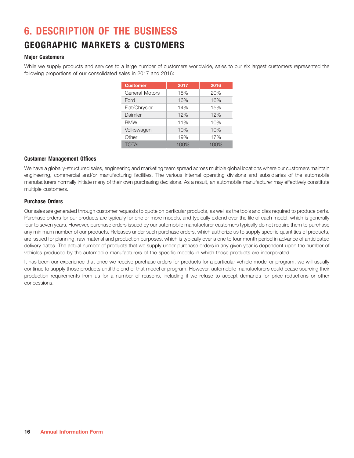## **6. DESCRIPTION OF THE BUSINESS**

## **GEOGRAPHIC MARKETS & CUSTOMERS**

### **Major Customers**

While we supply products and services to a large number of customers worldwide, sales to our six largest customers represented the following proportions of our consolidated sales in 2017 and 2016:

| <b>Customer</b> | 2017 | 2016 |
|-----------------|------|------|
| General Motors  | 18%  | 20%  |
| Ford            | 16%  | 16%  |
| Fiat/Chrysler   | 14%  | 15%  |
| Daimler         | 12%  | 12%  |
| <b>BMW</b>      | 11%  | 10%  |
| Volkswagen      | 10%  | 10%  |
| Other           | 19%  | 17%  |
| <b>TOTAL</b>    | 100% | 100% |

### **Customer Management Offices**

We have a globally-structured sales, engineering and marketing team spread across multiple global locations where our customers maintain engineering, commercial and/or manufacturing facilities. The various internal operating divisions and subsidiaries of the automobile manufacturers normally initiate many of their own purchasing decisions. As a result, an automobile manufacturer may effectively constitute multiple customers.

#### **Purchase Orders**

Our sales are generated through customer requests to quote on particular products, as well as the tools and dies required to produce parts. Purchase orders for our products are typically for one or more models, and typically extend over the life of each model, which is generally four to seven years. However, purchase orders issued by our automobile manufacturer customers typically do not require them to purchase any minimum number of our products. Releases under such purchase orders, which authorize us to supply specific quantities of products, are issued for planning, raw material and production purposes, which is typically over a one to four month period in advance of anticipated delivery dates. The actual number of products that we supply under purchase orders in any given year is dependent upon the number of vehicles produced by the automobile manufacturers of the specific models in which those products are incorporated.

It has been our experience that once we receive purchase orders for products for a particular vehicle model or program, we will usually continue to supply those products until the end of that model or program. However, automobile manufacturers could cease sourcing their production requirements from us for a number of reasons, including if we refuse to accept demands for price reductions or other concessions.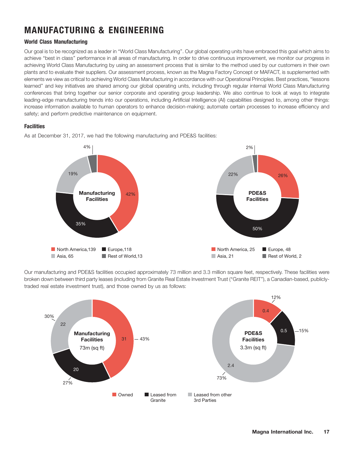## **MANUFACTURING & ENGINEERING**

### **World Class Manufacturing**

Our goal is to be recognized as a leader in ''World Class Manufacturing''. Our global operating units have embraced this goal which aims to achieve ''best in class'' performance in all areas of manufacturing. In order to drive continuous improvement, we monitor our progress in achieving World Class Manufacturing by using an assessment process that is similar to the method used by our customers in their own plants and to evaluate their suppliers. Our assessment process, known as the Magna Factory Concept or MAFACT, is supplemented with elements we view as critical to achieving World Class Manufacturing in accordance with our Operational Principles. Best practices, ''lessons learned'' and key initiatives are shared among our global operating units, including through regular internal World Class Manufacturing conferences that bring together our senior corporate and operating group leadership. We also continue to look at ways to integrate leading-edge manufacturing trends into our operations, including Artificial Intelligence (AI) capabilities designed to, among other things: increase information available to human operators to enhance decision-making; automate certain processes to increase efficiency and safety; and perform predictive maintenance on equipment.

### **Facilities**

As at December 31, 2017, we had the following manufacturing and PDE&S facilities:



Our manufacturing and PDE&S facilities occupied approximately 73 million and 3.3 million square feet, respectively. These facilities were broken down between third party leases (including from Granite Real Estate Investment Trust (''Granite REIT''), a Canadian-based, publiclytraded real estate investment trust), and those owned by us as follows:

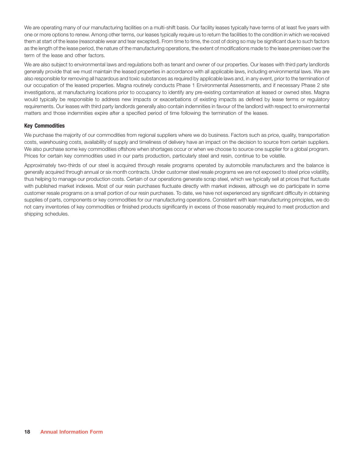We are operating many of our manufacturing facilities on a multi-shift basis. Our facility leases typically have terms of at least five years with one or more options to renew. Among other terms, our leases typically require us to return the facilities to the condition in which we received them at start of the lease (reasonable wear and tear excepted). From time to time, the cost of doing so may be significant due to such factors as the length of the lease period, the nature of the manufacturing operations, the extent of modifications made to the lease premises over the term of the lease and other factors.

We are also subject to environmental laws and regulations both as tenant and owner of our properties. Our leases with third party landlords generally provide that we must maintain the leased properties in accordance with all applicable laws, including environmental laws. We are also responsible for removing all hazardous and toxic substances as required by applicable laws and, in any event, prior to the termination of our occupation of the leased properties. Magna routinely conducts Phase 1 Environmental Assessments, and if necessary Phase 2 site investigations, at manufacturing locations prior to occupancy to identify any pre-existing contamination at leased or owned sites. Magna would typically be responsible to address new impacts or exacerbations of existing impacts as defined by lease terms or regulatory requirements. Our leases with third party landlords generally also contain indemnities in favour of the landlord with respect to environmental matters and those indemnities expire after a specified period of time following the termination of the leases.

#### **Key Commodities**

We purchase the majority of our commodities from regional suppliers where we do business. Factors such as price, quality, transportation costs, warehousing costs, availability of supply and timeliness of delivery have an impact on the decision to source from certain suppliers. We also purchase some key commodities offshore when shortages occur or when we choose to source one supplier for a global program. Prices for certain key commodities used in our parts production, particularly steel and resin, continue to be volatile.

Approximately two-thirds of our steel is acquired through resale programs operated by automobile manufacturers and the balance is generally acquired through annual or six month contracts. Under customer steel resale programs we are not exposed to steel price volatility, thus helping to manage our production costs. Certain of our operations generate scrap steel, which we typically sell at prices that fluctuate with published market indexes. Most of our resin purchases fluctuate directly with market indexes, although we do participate in some customer resale programs on a small portion of our resin purchases. To date, we have not experienced any significant difficulty in obtaining supplies of parts, components or key commodities for our manufacturing operations. Consistent with lean manufacturing principles, we do not carry inventories of key commodities or finished products significantly in excess of those reasonably required to meet production and shipping schedules.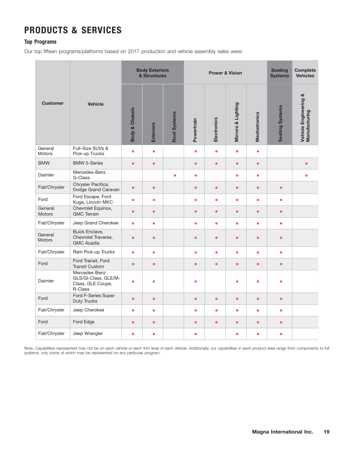## **PRODUCTS & SERVICES**

### **Top Programs**

Our top fifteen programs/platforms based on 2017 production and vehicle assembly sales were:

|                          |                                                                       |                           | <b>Body Exteriors</b><br>& Structures |              |            |             | <b>Power &amp; Vision</b> |                     | <b>Seating</b><br><b>Systems</b> | <b>Complete</b><br><b>Vehicles</b>     |
|--------------------------|-----------------------------------------------------------------------|---------------------------|---------------------------------------|--------------|------------|-------------|---------------------------|---------------------|----------------------------------|----------------------------------------|
| <b>Customer</b>          | <b>Vehicle</b>                                                        | <b>Body &amp; Chassis</b> | <b>Exteriors</b>                      | Roof Systems | Powertrain | Electronics | Mirrors & Lighting        | <b>Mechatronics</b> | <b>Seating Systems</b>           | Vehicle Engineering &<br>Manufacturing |
| General<br><b>Motors</b> | Full-Size SUVs &<br>Pick-up Trucks                                    | $\bullet$                 | $\bullet$                             |              | $\bullet$  | $\bullet$   | $\bullet$                 | $\bullet$           |                                  |                                        |
| <b>BMW</b>               | <b>BMW 5-Series</b>                                                   | $\bullet$                 | $\bullet$                             |              | $\bullet$  | $\bullet$   | $\bullet$                 | $\bullet$           |                                  | $\bullet$                              |
| Daimler                  | Mercedes-Benz<br>G-Class                                              |                           |                                       | $\bullet$    | $\bullet$  |             | $\bullet$                 | $\bullet$           |                                  | $\bullet$                              |
| Fiat/Chrysler            | Chrysler Pacifica,<br>Dodge Grand Caravan                             | $\bullet$                 | $\bullet$                             |              | $\bullet$  | $\bullet$   | $\bullet$                 | $\bullet$           | $\bullet$                        |                                        |
| Ford                     | Ford Escape, Ford<br>Kuga, Lincoln MKC                                | $\bullet$                 | $\bullet$                             |              | $\bullet$  | $\bullet$   | $\bullet$                 | $\bullet$           | $\bullet$                        |                                        |
| General<br><b>Motors</b> | Chevrolet Equinox,<br><b>GMC Terrain</b>                              | $\bullet$                 | $\bullet$                             |              | $\bullet$  | $\bullet$   | $\bullet$                 | $\bullet$           | $\bullet$                        |                                        |
| Fiat/Chrysler            | Jeep Grand Cherokee                                                   | $\bullet$                 | $\bullet$                             |              | $\bullet$  | $\bullet$   | $\bullet$                 | $\bullet$           | $\bullet$                        |                                        |
| General<br><b>Motors</b> | <b>Buick Enclave,</b><br>Chevrolet Traverse,<br><b>GMC Acadia</b>     | $\bullet$                 | $\bullet$                             |              | $\bullet$  | $\bullet$   | $\bullet$                 | $\bullet$           | $\bullet$                        |                                        |
| Fiat/Chrysler            | Ram Pick-up Trucks                                                    | ۰                         | $\bullet$                             |              | $\bullet$  | $\bullet$   | $\bullet$                 | $\bullet$           | $\bullet$                        |                                        |
| Ford                     | Ford Transit, Ford<br><b>Transit Custom</b>                           | $\bullet$                 | $\bullet$                             |              | $\bullet$  | $\bullet$   | $\bullet$                 | $\bullet$           | $\bullet$                        |                                        |
| Daimler                  | Mercedes-Benz<br>GLS/GI-Class, GLE/M-<br>Class, GLE Coupe,<br>R-Class | $\bullet$                 | $\bullet$                             |              | ٠          |             | $\bullet$                 | $\bullet$           | ۵                                |                                        |
| Ford                     | Ford F-Series Super<br>Duty Trucks                                    | $\bullet$                 | $\bullet$                             |              | $\bullet$  | $\bullet$   | $\bullet$                 | $\bullet$           | $\bullet$                        |                                        |
| Fiat/Chrysler            | Jeep Cherokee                                                         | ٠                         | $\bullet$                             |              | $\bullet$  | $\bullet$   | $\bullet$                 | $\bullet$           | $\bullet$                        |                                        |
| Ford                     | Ford Edge                                                             | $\bullet$                 | $\bullet$                             |              | $\bullet$  | $\bullet$   | $\bullet$                 | $\bullet$           | $\bullet$                        |                                        |
| Fiat/Chrysler            | Jeep Wrangler                                                         | $\bullet$                 | $\bullet$                             |              | ٠          |             | $\bullet$                 | $\bullet$           | $\bullet$                        |                                        |

Note: Capabilities represented may not be on each vehicle or each trim level of each vehicle. Additionally, our capabilities in each product area range from components to full systems, only some of which may be represented on any particular program.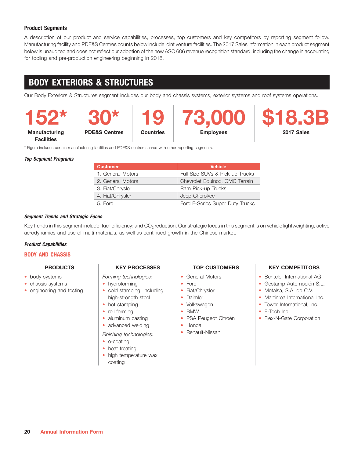### **Product Segments**

A description of our product and service capabilities, processes, top customers and key competitors by reporting segment follow. Manufacturing facility and PDE&S Centres counts below include joint venture facilities. The 2017 Sales information in each product segment below is unaudited and does not reflect our adoption of the new ASC 606 revenue recognition standard, including the change in accounting for tooling and pre-production engineering beginning in 2018.

## **BODY EXTERIORS & STRUCTURES**

Our Body Exteriors & Structures segment includes our body and chassis systems, exterior systems and roof systems operations.

**Facilities**

**Manufacturing PDE&S Centres Countries Employees 2017 Sales**



\* Figure includes certain manufacturing facilities and PDE&S centres shared with other reporting segments.

#### *Top Segment Programs*

| <b>Customer</b>   | <b>Vehicle</b>                  |
|-------------------|---------------------------------|
| 1. General Motors | Full-Size SUVs & Pick-up Trucks |
| 2. General Motors | Chevrolet Equinox, GMC Terrain  |
| 3. Fiat/Chrysler  | Ram Pick-up Trucks              |
| 4. Fiat/Chrysler  | Jeep Cherokee                   |
| 5. Ford           | Ford F-Series Super Duty Trucks |

#### *Segment Trends and Strategic Focus*

Key trends in this segment include: fuel-efficiency; and CO<sub>2</sub> reduction. Our strategic focus in this segment is on vehicle lightweighting, active aerodynamics and use of multi-materials, as well as continued growth in the Chinese market.

### *Product Capabilities*

#### **BODY AND CHASSIS**

- 
- chassis systems
- 

#### • *Forming technologies:* • •

- 
- engineering and testing  $\cdot$  cold stamping, including  $\cdot$  Fiat/Chrysler  $\cdot$  Metalsa, S.A. de C.V.
	-
	- roll forming
	-
	- advanced welding  **Honda**
	- *Finishing technologies:*
	- e-coating
	- heat treating
	- high temperature wax coating

- 
- 
- 
- Daimler
- Volkswagen
- 
- PSA Peugeot Citroën
- 
- Renault-Nissan

### **PRODUCTS KEY PROCESSES TOP CUSTOMERS TO KEY COMPETITORS**

- body systems **General Motors General Motors CENT General Motors General Motors General Motors General Motors General Motors General Motors General Motors General Motors General Motors General Moto** 
	- hydroforming  $\cdot$  Ford  $\cdot$  Gestamp Automoción S.L.
		-
		- high-strength steel **Daimler** Daimler **Daimler** Martinrea International Inc.
	- hot stamping  $\bullet$  Volkswagen  $\bullet$  Tower International, Inc.
		- RMW **F-Tech Inc.**
	- aluminum casting PSA Peugeot Citroën · Flex-N-Gate Corporation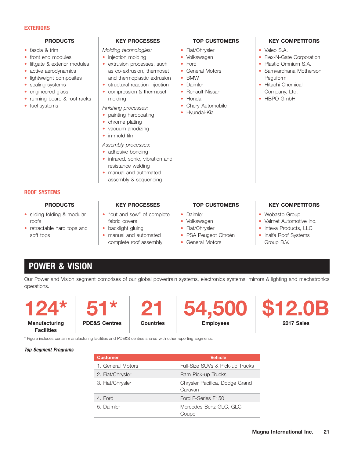#### **EXTERIORS**

- 
- 
- 
- 
- lightweight composites
- 
- 
- running board & roof racks | molding  $\overrightarrow{ }$  Honda  $\overrightarrow{ }$  Honda  $\overrightarrow{ }$  HBPO GmbH
- fuel systems Chery Automobile

fascia & trim Fiat/Chrysler Valeo S.A. • *Molding technologies:* • •

- injection molding
- liftgate & exterior modules  $\qquad \bullet \quad$  extrusion processes, such  $\qquad \bullet \quad$  Ford  $\qquad \bullet \quad$  Plastic Omnium S.A. • active aerodynamics and a sco-extrusion, thermoset **•** General Motors **••** Samvardhana Motherson and thermoplastic extrusion **| BMW** Peguform
- sealing systems structural reaction injection structure interference and the Hitachi Chemical • engineered glass and the compression & thermoset **•** Renault-Nissan **Company, Ltd.** 
	-
- fuel systems *Finishing processes:* Chery Autor Chery Autor *Finishing processes: Hyundai-Kia* 
	-
	- chrome plating • vacuum anodizing
	- in-mold film
	- *Assembly processes:*
	- adhesive bonding
	- infrared, sonic, vibration and resistance welding
	- manual and automated assembly & sequencing
- **ROOF SYSTEMS**

- 
- retractable hard tops and  $\qquad \qquad \bullet$  backlight gluing  $\qquad \qquad \bullet$  Fiat/Chrysler  $\qquad \qquad \bullet$  Inteva Products, LLC soft tops **manual and automated** To PSA Peugeot Citroën **I** Inalfa Roof Systems

- sliding folding & modular | "cut and sew" of complete | Daimler Webasto Group roofs **fabric covers Fabric Covers Volkswagen** Valmet Automotive Inc.
	-
	- complete roof assembly  $\bullet$  General Motors Group B.V.

### **PRODUCTS KEY PROCESSES TOP CUSTOMERS TO KEY COMPETITORS**

- 
- 
- 
- 
- 
- 
- 
- 
- 

- 
- front end modules injection molding Volkswagen Flex-N-Gate Corporation
	-
	-
	-
	-

- Volkswagen
- 
- 
- General Motors

### PRODUCTS **KEY PROCESSES TOP CUSTOMERS TO KEY COMPETITORS**

- 
- 
- 
- 

## **POWER & VISION**

Our Power and Vision segment comprises of our global powertrain systems, electronics systems, mirrors & lighting and mechatronics operations.





\* Figure includes certain manufacturing facilities and PDE&S centres shared with other reporting segments.



*Top Segment Programs*

| <b>Customer</b>   | <b>Vehicle</b>                            |
|-------------------|-------------------------------------------|
| 1. General Motors | Full-Size SUVs & Pick-up Trucks           |
| 2. Fiat/Chrysler  | Ram Pick-up Trucks                        |
| 3. Fiat/Chrysler  | Chrysler Pacifica, Dodge Grand<br>Caravan |
| 4. Ford           | Ford F-Series F150                        |
| 5. Daimler        | Mercedes-Benz GLC, GLC<br>Coupe           |

- -
	-
	-
	-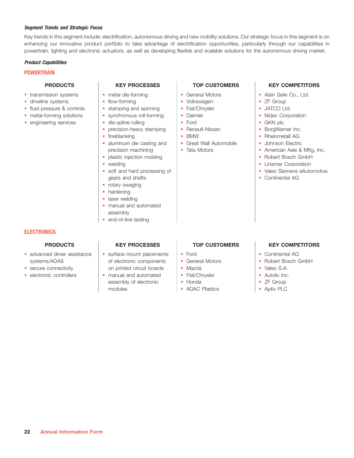#### *Segment Trends and Strategic Focus*

Key trends in this segment include: electrification, autonomous driving and new mobility solutions. Our strategic focus in this segment is on enhancing our innovative product portfolio to take advantage of electrification opportunities, particularly through our capabilities in powertrain, lighting and electronic actuators, as well as developing flexible and scalable solutions for the autonomous driving market.

#### *Product Capabilities*

#### **POWERTRAIN**

- transmission systems  $\vert \cdot \vert$  metal die-forming  $\vert \cdot \vert$  General Motors  $\vert \cdot \vert$  Aisin Seiki Co., Ltd.
- driveline systems flow-forming Volkswagen ZF Group ••••
- fluid pressure & controls
- metal-forming solutions | synchronous roll-forming | Daimler Nidec Corporation
- engineering services and the die-spline rolling the Ford the Ford of the GKN plc

- 
- 
- stamping and spinning  $\cdot$  Fiat/Chrysler  $\cdot$  JATCO Ltd.
	-
- 
- precision-heavy stamping  $\cdot \cdot$  Renault-Nissan  $\cdot \cdot$  BorgWarner Inc.
- fineblanking
- aluminum die casting and  $\|\cdot\|$  Great Wall Automobile  $\|\cdot\|$  Johnson Electric precision machining **Tata Motors American Axle & Mftg, Inc.**
- plastic injection molding  $\qquad$  |  $\qquad$  Robert Bosch GmbH
- welding
- soft and hard processing of Valeo Siemens eAutomotive • gears and shafts
- rotary swaging
- hardening
- laser welding
- manual and automated assembly
- end-of-line testing

- 
- 
- 
- 
- 
- 
- 
- 
- Tata Motors

### **PRODUCTS KEY PROCESSES TOP CUSTOMERS TO KEY COMPETITORS**

- 
- 
- 
- 
- 
- 
- BMW Rheinmetall AG
	-
	-
	-
	- Linamar Corporation
	-
	- Continental AG

### **ELECTRONICS**

- advanced driver assistance
- 
- 

- surface mount placements  $\cdot$  Ford  $\cdot$  Continental AG systems/ADAS **of electronic components of General Motors expansion Robert Bosch GmbH** • secure connectivity and printed circuit boards and the Mazda and the Valeo S.A.
- electronic controllers **•** manual and automated **•** Fiat/Chrysler **•** Autoliv Inc. assembly of electronic  $\cdot$  Honda  $\cdot$  ZF Group modules **ADAC** Plastics **ADAC** Plastics **Aptiv PLC**

- 
- General Motors
- 
- 
- Honda
- 

### **PRODUCTS KEY PROCESSES TOP CUSTOMERS TO KEY COMPETITORS**

- 
- 
- 
- 
- 
-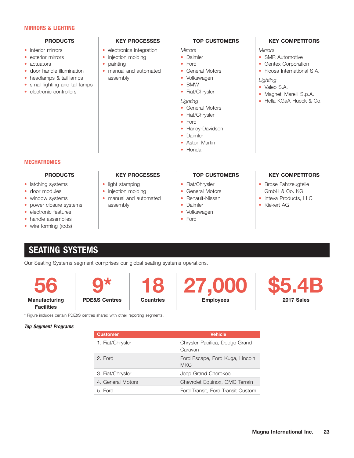#### **MIRRORS & LIGHTING**

- 
- exterior mirrors  $\vert$  injection molding  $\vert$  Daimler  $\vert$  SMR Automotive
- actuators
- 
- 
- small lighting and tail lamps  $\begin{array}{c|c|c|c|c} \bullet & \text{BMW} & \bullet & \text{SA.} \ \bullet & \text{Factoric controllers} & \bullet & \text{Valeo S.A.} \ \end{array}$ • headlamps & tail lamps assembly assembly volkswagen values of the small lighting and tail lamps values are electronic controllers value of the Magnetic Magnetic Magnetic Magnetic Magnetic Magnetic Magnetic Magnetic Magne
- 

- interior mirrors **electronics integration** Mirrors **Mirrors** Mirrors **Mirrors Mirrors** 
	-
	- painting  $\cdot$  Ford  $\cdot$  Gentex Corporation
- door handle illumination  $\cdot$  manual and automated  $\cdot$  General Motors  $\cdot$  Ficosa International S.A. • headlamps & tail lamps assembly volkswagen and volkswagen

### **PRODUCTS KEY PROCESSES TOP CUSTOMERS TO KEY COMPETITORS**

- 
- 
- 
- 
- 
- 

#### *Lighting* •

- General Motors
- Fiat/Chrysler
- Ford
- Harley-Davidson
- Daimler

#### **MECHATRONICS**

- latching systems
- 
- 
- 
- 
- 
- wire forming (rods)

- 
- 
- window systems manual and automated Renault-Nissan Inteva Products, LLC •••• • power closure systems and assembly and and assembly and a Daimler and AG and AG AG AG AG AG AG AG AG AG AG AG
	-
	-

- 
- 
- 
- 
- 
- 

- Magneti Marelli S.p.A.
- Hella KGaA Hueck & Co.

### **PRODUCTS KEY PROCESSES TOP CUSTOMERS KEY COMPETITORS**

- light stamping  $\begin{vmatrix} \cdot & \cdot & \cdot \\ \cdot & \cdot & \cdot \\ \cdot & \cdot & \cdot \end{vmatrix}$  Brose Fahrzeugteile • door modules  $\vert$  • injection molding  $\vert$  • General Motors  $\vert$  GmbH & Co. KG
	-
	-

## **SEATING SYSTEMS**

Our Seating Systems segment comprises our global seating systems operations.

**Facilities**

\* Figure includes certain PDE&S centres shared with other reporting segments.

**27,000 \$5.4**<br>Employees **Manufacturing PDE&S Centres Countries | Employees** 



*Top Segment Programs*

| <b>Vehicle</b>                                |
|-----------------------------------------------|
| Chrysler Pacifica, Dodge Grand<br>Caravan     |
| Ford Escape, Ford Kuga, Lincoln<br><b>MKC</b> |
| Jeep Grand Cherokee                           |
| Chevrolet Equinox, GMC Terrain                |
| Ford Transit, Ford Transit Custom             |
|                                               |

• electronic features and the volkswagen of the volkswagen of the volkswagen • handle assemblies **Ford** 

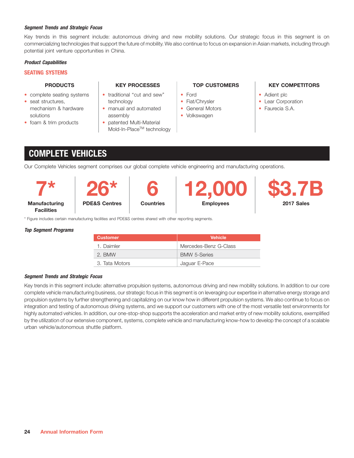#### *Segment Trends and Strategic Focus*

Key trends in this segment include: autonomous driving and new mobility solutions. Our strategic focus in this segment is on commercializing technologies that support the future of mobility. We also continue to focus on expansion in Asian markets, including through potential joint venture opportunities in China.

#### *Product Capabilities*

#### **SEATING SYSTEMS**

- complete seating systems  $\vert \cdot \vert$  traditional "cut and sew"  $\vert \cdot \vert$  Ford  $\vert \cdot \vert$  + Adient plc
- seat structures,
- 

- technology **Fiat/Chrysler Component Lear Corporation**
- mechanism & hardware  $\begin{array}{|c|c|c|c|c|}\n\hline\n\bullet\end{array}$  Faurecia S.A. solutions assembly assembly assembly assembly assemble  $\sim$  Volkswagen
- foam & trim products | patented Multi-Material Mold-In-Place<sup>™</sup> technology

- 
- 
- 
- 

#### **PRODUCTS KEY PROCESSES TOP CUSTOMERS TO KEY COMPETITORS**

- 
- 
- 

## **COMPLETE VEHICLES**

Our Complete Vehicles segment comprises our global complete vehicle engineering and manufacturing operations.

|                                           |                          |                  | 12.000           |            |
|-------------------------------------------|--------------------------|------------------|------------------|------------|
| <b>Manufacturing</b><br><b>Facilities</b> | <b>PDE&amp;S Centres</b> | <b>Countries</b> | <b>Employees</b> | 2017 Sales |

\* Figure includes certain manufacturing facilities and PDE&S centres shared with other reporting segments.

#### *Top Segment Programs*

| <b>Customer</b> | <b>Vehicle</b>        |
|-----------------|-----------------------|
| 1. Daimler      | Mercedes-Benz G-Class |
| 2. BMW          | <b>BMW 5-Series</b>   |
| 3. Tata Motors  | Jaguar E-Pace         |

#### *Segment Trends and Strategic Focus*

Key trends in this segment include: alternative propulsion systems, autonomous driving and new mobility solutions. In addition to our core complete vehicle manufacturing business, our strategic focus in this segment is on leveraging our expertise in alternative energy storage and propulsion systems by further strengthening and capitalizing on our know how in different propulsion systems. We also continue to focus on integration and testing of autonomous driving systems, and we support our customers with one of the most versatile test environments for highly automated vehicles. In addition, our one-stop-shop supports the acceleration and market entry of new mobility solutions, exemplified by the utilization of our extensive component, systems, complete vehicle and manufacturing know-how to develop the concept of a scalable urban vehicle/autonomous shuttle platform.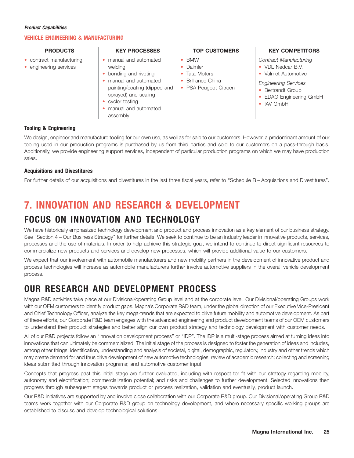#### *Product Capabilities*

### **VEHICLE ENGINEERING & MANUFACTURING**

- 
- 

- contract manufacturing  $\vert \cdot \vert$  manual and automated  $\vert \cdot \vert$  BMW  $\vert$  Contract Manufacturing • engineering services and a welding the control of the Daimler term of the VDL Nedcar B.V.
	- bonding and riveting Tata Motors Valmet Automotive •••
	- painting/coating (dipped and | PSA Peugeot Citroën | Bertrandt Group sprayed) and sealing IAV GmbH cycler testing GmbH cycler testing IAV GmbH cycler testing IAV GmbH cycler testing IAV GmbH can all the UAV GmbH can al Frieniual and automated **• Engineering Services**<br> **example of the Services example of the Services**<br> **example of the Services**<br> **example of the Services**<br> **example of the Services**<br> **example of the Services**<br> **example**
	-
	- manual and automated • • assembly

- 
- 
- 
- manual and automated  $\bullet$  Brilliance China
	-

#### **PRODUCTS KEY PROCESSES TOP CUSTOMERS TO KEY COMPETITORS**

- 
- 

- 
- 
- 

### **Tooling & Engineering**

We design, engineer and manufacture tooling for our own use, as well as for sale to our customers. However, a predominant amount of our tooling used in our production programs is purchased by us from third parties and sold to our customers on a pass-through basis. Additionally, we provide engineering support services, independent of particular production programs on which we may have production sales.

### **Acquisitions and Divestitures**

For further details of our acquisitions and divestitures in the last three fiscal years, refer to ''Schedule B – Acquisitions and Divestitures''.

## **7. INNOVATION AND RESEARCH & DEVELOPMENT**

## **FOCUS ON INNOVATION AND TECHNOLOGY**

We have historically emphasized technology development and product and process innovation as a key element of our business strategy. See ''Section 4 – Our Business Strategy'' for further details. We seek to continue to be an industry leader in innovative products, services, processes and the use of materials. In order to help achieve this strategic goal, we intend to continue to direct significant resources to commercialize new products and services and develop new processes, which will provide additional value to our customers.

We expect that our involvement with automobile manufacturers and new mobility partners in the development of innovative product and process technologies will increase as automobile manufacturers further involve automotive suppliers in the overall vehicle development process.

## **OUR RESEARCH AND DEVELOPMENT PROCESS**

Magna R&D activities take place at our Divisional/operating Group level and at the corporate level. Our Divisional/operating Groups work with our OEM customers to identify product gaps. Magna's Corporate R&D team, under the global direction of our Executive Vice-President and Chief Technology Officer, analyze the key mega-trends that are expected to drive future mobility and automotive development. As part of these efforts, our Corporate R&D team engages with the advanced engineering and product development teams of our OEM customers to understand their product strategies and better align our own product strategy and technology development with customer needs.

All of our R&D projects follow an ''innovation development process'' or ''IDP''. The IDP is a multi-stage process aimed at turning ideas into innovations that can ultimately be commercialized. The initial stage of the process is designed to foster the generation of ideas and includes, among other things: identification, understanding and analysis of societal, digital, demographic, regulatory, industry and other trends which may create demand for and thus drive development of new automotive technologies; review of academic research; collecting and screening ideas submitted through innovation programs; and automotive customer input.

Concepts that progress past this initial stage are further evaluated, including with respect to: fit with our strategy regarding mobility, autonomy and electrification; commercialization potential; and risks and challenges to further development. Selected innovations then progress through subsequent stages towards product or process realization, validation and eventually, product launch.

Our R&D initiatives are supported by and involve close collaboration with our Corporate R&D group. Our Divisional/operating Group R&D teams work together with our Corporate R&D group on technology development, and where necessary specific working groups are established to discuss and develop technological solutions.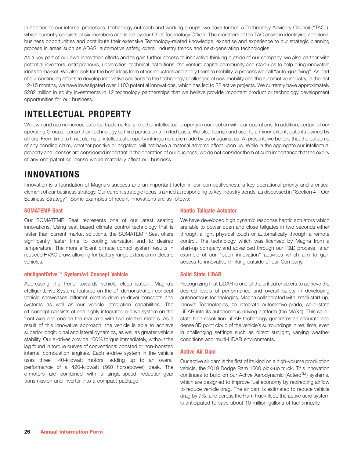In addition to our internal processes, technology outreach and working groups, we have formed a Technology Advisory Council ("TAC"), which currently consists of six members and is led by our Chief Technology Officer. The members of the TAC assist in identifying additional business opportunities and contribute their extensive Technology-related knowledge, expertise and experience to our strategic planning process in areas such as ADAS, automotive safety, overall industry trends and next-generation technologies.

As a key part of our own innovation efforts and to gain further access to innovative thinking outside of our company, we also partner with potential inventors, entrepreneurs, universities, technical institutions, the venture capital community and start-ups to help bring innovative ideas to market. We also look for the best ideas from other industries and apply them to mobility, a process we call ''auto-qualifying''. As part of our continuing efforts to develop innovative solutions to the technology challenges of new mobility and the automotive industry, in the last 12-15 months, we have investigated over 1100 potential innovations, which has led to 22 active projects. We currently have approximately \$282 million in equity investments in 12 technology partnerships that we believe provide important product or technology development opportunities for our business.

## **INTELLECTUAL PROPERTY**

We own and use numerous patents, trademarks, and other intellectual property in connection with our operations. In addition, certain of our operating Groups license their technology to third parties on a limited basis. We also license and use, to a minor extent, patents owned by others. From time to time, claims of intellectual property infringement are made by us or against us. At present, we believe that the outcome of any pending claim, whether positive or negative, will not have a material adverse effect upon us. While in the aggregate our intellectual property and licenses are considered important in the operation of our business, we do not consider them of such importance that the expiry of any one patent or license would materially affect our business.

## **INNOVATIONS**

Innovation is a foundation of Magna's success and an important factor in our competitiveness, a key operational priority and a critical element of our business strategy. Our current strategic focus is aimed at responding to key industry trends, as discussed in ''Section 4 – Our Business Strategy''. Some examples of recent innovations are as follows:

Our SOMATEMP Seat represents one of our latest seating We have developed high dynamic response haptic actuators which innovations. Using seat based climate control technology that is are able to power open and close tailgates in two seconds either faster than current market solutions, the SOMATEMP Seat offers through a light physical touch or automatically through a remote significantly faster time to cooling sensation and to desired control. The technology which was licensed by Magna from a temperature. The more efficient climate control system results in start-up company and advanced through our R&D process, is an reduced HVAC draw, allowing for battery range extension in electric example of our ''open innovation'' activities which aim to gain vehicles. access to innovative thinking outside of our Company.

### **etelligentDrive™ System/e1 Concept Vehicle Solid State LiDAR**

Addressing the trend towards vehicle electrification, Magna's Recognizing that LiDAR is one of the critical enablers to achieve the etelligentDrive System, featured on the e1 demonstration concept desired levels of performance and overall safety in developing vehicle showcases different electric-drive (e-drive) concepts and autonomous technologies, Magna collaborated with Israeli start-up, systems as well as our vehicle integration capabilities. The Innoviz Technologies, to integrate automotive-grade, solid-state e1 concept consists of one highly integrated e-drive system on the LiDAR into its autonomous driving platform (the MAX4). This solidfront axle and one on the rear axle with two electric motors. As a state high-resolution LiDAR technology generates an accurate and result of this innovative approach, the vehicle is able to achieve dense 3D point cloud of the vehicle's surroundings in real time, even superior longitudinal and lateral dynamics, as well as greater vehicle in challenging settings such as direct sunlight, varying weather stability. Our e-drives provide 100% torque immediately, without the conditions and multi-LiDAR environments. lag found in torque curves of conventional boosted or non-boosted internal combustion engines. Each e-drive system in the vehicle **Active Air Dam** uses three 140-kilowatt motors, adding up to an overall Our active air dam is the first of its kind on a high-volume production performance of a 420-kilowatt (560 horsepower) peak. The vehicle, the 2019 Dodge Ram 1500 pick-up truck. This innovation e-motors are combined with a single-speed reduction-gear continues to build on our Active Aerodynamic (Actero™) systems,

### **SOMATEMP Seat COMPUTE TAILS AND SOMATEMP Seat COMPUTE TAILS AND TAILS AND TAILS AND TAILS AND TAILS AND TAILS AND TAILS AND TAILS AND TAILS AND TAILS AND TAILS AND TAILS AND TAILS AND TAILS AND TAILS AND TAILS AND TAILS A**

transmission and inverter into a compact package. which are designed to improve fuel economy by redirecting airflow to reduce vehicle drag. The air dam is estimated to reduce vehicle drag by 7%, and across the Ram truck fleet, the active aero system is anticipated to save about 10 million gallons of fuel annually.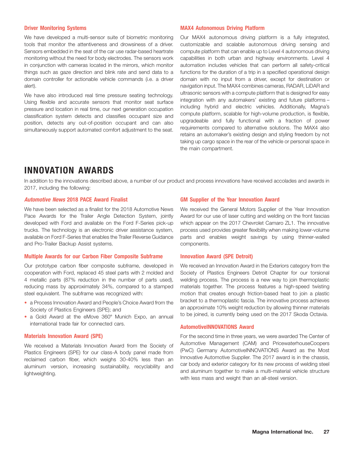We have developed a multi-sensor suite of biometric monitoring Our MAX4 autonomous driving platform is a fully integrated,

#### **Driver Monitoring Systems MAX4 Autonomous Driving Platform**

tools that monitor the attentiveness and drowsiness of a driver. customizable and scalable autonomous driving sensing and Sensors embedded in the seat of the car use radar-based heartrate compute platform that can enable up to Level 4 autonomous driving monitoring without the need for body electrodes. The sensors work capabilities in both urban and highway environments. Level 4 in conjunction with cameras located in the mirrors, which monitor automation includes vehicles that can perform all safety-critical things such as gaze direction and blink rate and send data to a functions for the duration of a trip in a specified operational design domain controller for actionable vehicle commands (i.e. a driver domain with no input from a driver, except for destination or alert). navigation input. The MAX4 combines cameras, RADAR, LiDAR and We have also introduced real time pressure seating technology. ultrasonic sensors with a compute platform that is designed for easy<br>Using flovible and acquirate sensors that menitor seat surface integration with any automa Using flexible and accurate sensors that monitor seat surface<br>pressure and location in real time, our next generation occupation<br>classification system detects and classifies occupant size and<br>position, detects any out-of-p taking up cargo space in the rear of the vehicle or personal space in the main compartment.

## **INNOVATION AWARDS**

In addition to the innovations described above, a number of our product and process innovations have received accolades and awards in 2017, including the following:

#### *Automotive News* **2018 PACE Award Finalist GM Supplier of the Year Innovation Award**

We have been selected as a finalist for the 2018 Automotive News We received the General Motors Supplier of the Year Innovation Pace Awards for the Trailer Angle Detection System, jointly Award for our use of laser cutting and welding on the front fascias developed with Ford and available on the Ford F-Series pick-up which appear on the 2017 Chevrolet Camaro ZL1. The innovative trucks. The technology is an electronic driver assistance system, process used provides greater flexibility when making lower-volume available on Ford F-Series that enables the Trailer Reverse Guidance parts and enables weight savings by using thinner-walled and Pro-Trailer Backup Assist systems. components.

#### **Multiple Awards for our Carbon Fiber Composite Subframe Innovation Award (SPE Detroit)**

Our prototype carbon fiber composite subframe, developed in We received an Innovation Award in the Exteriors category from the cooperation with Ford, replaced 45 steel parts with 2 molded and Society of Plastics Engineers Detroit Chapter for our torsional 4 metallic parts (87% reduction in the number of parts used), welding process. The process is a new way to join thermoplastic reducing mass by approximately 34%, compared to a stamped materials together. The process features a high-speed twisting steel equivalent. The subframe was recognized with: motion that creates enough friction-based heat to join a plastic

- a Process Innovation Award and People's Choice Award from the Society of Plastics Engineers (SPE); and
- international trade fair for connected cars.

• a Gold Award at the eMove 360° Munich Expo, an annual to be joined, is currently being used on the 2017 Skoda Octavia. bracket to a thermoplastic fascia. The innovative process achieves<br>an approximate 10% weight reduction by allowing thinner materials

#### **AutomotiveINNOVATIONS Award**

**Materials Innovation Award (SPE)** For the second time in three years, we were awarded The Center of We received a Materials Innovation Award from the Society of Automotive Management (CAM) and PricewaterhouseCoopers<br>Plastics Engineers (SPE) for our class A body panel made from (PWC) Germany AutomotiveINNOVATIONS Award as Plastics Engineers (SPE) for our class-A body panel made from (PwC) Germany Automotive NNOVATIONS Award as the Most<br>reclaimed carbon fiber, which weighs 30-40% less than an linnovative Automotive Supplier. The 2017 award i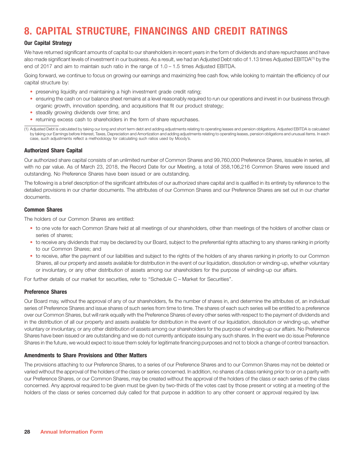## **8. CAPITAL STRUCTURE, FINANCINGS AND CREDIT RATINGS**

### **Our Capital Strategy**

We have returned significant amounts of capital to our shareholders in recent years in the form of dividends and share repurchases and have also made significant levels of investment in our business. As a result, we had an Adjusted Debt ratio of 1.13 times Adjusted EBITDA<sup>(1)</sup> by the end of 2017 and aim to maintain such ratio in the range of 1.0 – 1.5 times Adjusted EBITDA.

Going forward, we continue to focus on growing our earnings and maximizing free cash flow, while looking to maintain the efficiency of our capital structure by:

- preserving liquidity and maintaining a high investment grade credit rating;
- ensuring the cash on our balance sheet remains at a level reasonably required to run our operations and invest in our business through organic growth, innovation spending, and acquisitions that fit our product strategy;
- steadily growing dividends over time; and
- returning excess cash to shareholders in the form of share repurchases.

(1) Adjusted Debt is calculated by taking our long and short term debt and adding adjustments relating to operating leases and pension obligations. Adjusted EBITDA is calculated by taking our Earnings before Interest, Taxes, Depreciation and Amortization and adding adjustments relating to operating leases, pension obligations and unusual items. In each case, such adjustments reflect a methodology for calculating such ratios used by Moody's.

#### **Authorized Share Capital**

Our authorized share capital consists of an unlimited number of Common Shares and 99,760,000 Preference Shares, issuable in series, all with no par value. As of March 23, 2018, the Record Date for our Meeting, a total of 358,106,216 Common Shares were issued and outstanding. No Preference Shares have been issued or are outstanding.

The following is a brief description of the significant attributes of our authorized share capital and is qualified in its entirety by reference to the detailed provisions in our charter documents. The attributes of our Common Shares and our Preference Shares are set out in our charter documents.

#### **Common Shares**

The holders of our Common Shares are entitled:

- to one vote for each Common Share held at all meetings of our shareholders, other than meetings of the holders of another class or series of shares;
- to receive any dividends that may be declared by our Board, subject to the preferential rights attaching to any shares ranking in priority to our Common Shares; and
- to receive, after the payment of our liabilities and subject to the rights of the holders of any shares ranking in priority to our Common Shares, all our property and assets available for distribution in the event of our liquidation, dissolution or winding-up, whether voluntary or involuntary, or any other distribution of assets among our shareholders for the purpose of winding-up our affairs.

For further details of our market for securities, refer to "Schedule C – Market for Securities".

#### **Preference Shares**

Our Board may, without the approval of any of our shareholders, fix the number of shares in, and determine the attributes of, an individual series of Preference Shares and issue shares of such series from time to time. The shares of each such series will be entitled to a preference over our Common Shares, but will rank equally with the Preference Shares of every other series with respect to the payment of dividends and in the distribution of all our property and assets available for distribution in the event of our liquidation, dissolution or winding-up, whether voluntary or involuntary, or any other distribution of assets among our shareholders for the purpose of winding-up our affairs. No Preference Shares have been issued or are outstanding and we do not currently anticipate issuing any such shares. In the event we do issue Preference Shares in the future, we would expect to issue them solely for legitimate financing purposes and not to block a change of control transaction.

#### **Amendments to Share Provisions and Other Matters**

The provisions attaching to our Preference Shares, to a series of our Preference Shares and to our Common Shares may not be deleted or varied without the approval of the holders of the class or series concerned. In addition, no shares of a class ranking prior to or on a parity with our Preference Shares, or our Common Shares, may be created without the approval of the holders of the class or each series of the class concerned. Any approval required to be given must be given by two-thirds of the votes cast by those present or voting at a meeting of the holders of the class or series concerned duly called for that purpose in addition to any other consent or approval required by law.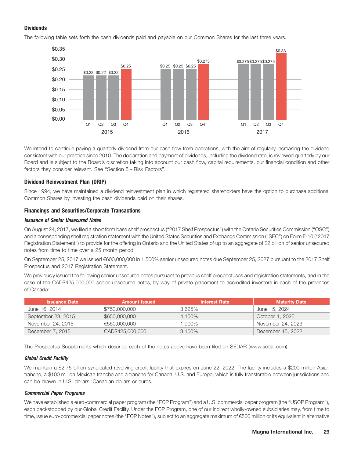### **Dividends**



The following table sets forth the cash dividends paid and payable on our Common Shares for the last three years.

We intend to continue paying a quarterly dividend from our cash flow from operations, with the aim of regularly increasing the dividend consistent with our practice since 2010. The declaration and payment of dividends, including the dividend rate, is reviewed quarterly by our Board and is subject to the Board's discretion taking into account our cash flow, capital requirements, our financial condition and other factors they consider relevant. See ''Section 5 – Risk Factors''.

### **Dividend Reinvestment Plan (DRIP)**

Since 1994, we have maintained a dividend reinvestment plan in which registered shareholders have the option to purchase additional Common Shares by investing the cash dividends paid on their shares.

### **Financings and Securities/Corporate Transactions**

#### *Issuance of Senior Unsecured Notes*

On August 24, 2017, we filed a short form base shelf prospectus (''2017 Shelf Prospectus'') with the Ontario Securities Commission (''OSC'') and a corresponding shelf registration statement with the United States Securities and Exchange Commission (''SEC'') on Form F-10 (''2017 Registration Statement'') to provide for the offering in Ontario and the United States of up to an aggregate of \$2 billion of senior unsecured notes from time to time over a 25 month period.

On September 25, 2017 we issued c600,000,000 in 1.500% senior unsecured notes due September 25, 2027 pursuant to the 2017 Shelf Prospectus and 2017 Registration Statement.

We previously issued the following senior unsecured notes pursuant to previous shelf prospectuses and registration statements, and in the case of the CAD\$425,000,000 senior unsecured notes, by way of private placement to accredited investors in each of the provinces of Canada:

| <b>Issuance Date</b> | <b>Amount Issued</b> | <b>Interest Rate</b> | <b>Maturity Date</b> |
|----------------------|----------------------|----------------------|----------------------|
| June 16, 2014        | \$750,000,000        | 3.625%               | June 15, 2024        |
| September 23, 2015   | \$650,000,000        | 4.150%               | October 1, 2025      |
| November 24, 2015    | €550,000,000         | 1.900%               | November 24, 2023    |
| December 7, 2015     | CAD\$425,000,000     | 3.100%               | December 15, 2022    |

The Prospectus Supplements which describe each of the notes above have been filed on SEDAR (www.sedar.com).

#### *Global Credit Facility*

We maintain a \$2.75 billion syndicated revolving credit facility that expires on June 22, 2022. The facility includes a \$200 million Asian tranche, a \$100 million Mexican tranche and a tranche for Canada, U.S. and Europe, which is fully transferable between jurisdictions and can be drawn in U.S. dollars, Canadian dollars or euros.

#### *Commercial Paper Programs*

We have established a euro-commercial paper program (the "ECP Program") and a U.S. commercial paper program (the "USCP Program"), each backstopped by our Global Credit Facility. Under the ECP Program, one of our indirect wholly-owned subsidiaries may, from time to time, issue euro-commercial paper notes (the "ECP Notes"), subject to an aggregate maximum of €500 million or its equivalent in alternative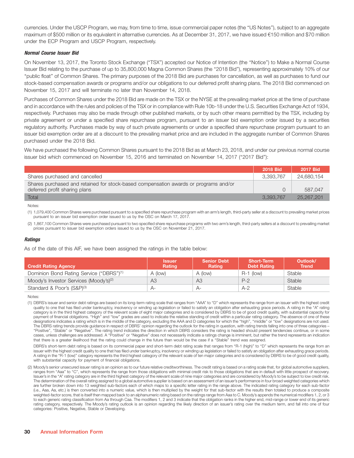currencies. Under the USCP Program, we may, from time to time, issue commercial paper notes (the ''US Notes''), subject to an aggregate maximum of \$500 million or its equivalent in alternative currencies. As at December 31, 2017, we have issued  $\epsilon$ 150 million and \$70 million under the ECP Program and USCP Program, respectively.

#### *Normal Course Issuer Bid*

On November 13, 2017, the Toronto Stock Exchange (''TSX'') accepted our Notice of Intention (the ''Notice'') to Make a Normal Course Issuer Bid relating to the purchase of up to 35,800,000 Magna Common Shares (the ''2018 Bid''), representing approximately 10% of our ''public float'' of Common Shares. The primary purposes of the 2018 Bid are purchases for cancellation, as well as purchases to fund our stock-based compensation awards or programs and/or our obligations to our deferred profit sharing plans. The 2018 Bid commenced on November 15, 2017 and will terminate no later than November 14, 2018.

Purchases of Common Shares under the 2018 Bid are made on the TSX or the NYSE at the prevailing market price at the time of purchase and in accordance with the rules and policies of the TSX or in compliance with Rule 10b-18 under the U.S. Securities Exchange Act of 1934, respectively. Purchases may also be made through other published markets, or by such other means permitted by the TSX, including by private agreement or under a specified share repurchase program, pursuant to an issuer bid exemption order issued by a securities regulatory authority. Purchases made by way of such private agreements or under a specified share repurchase program pursuant to an issuer bid exemption order are at a discount to the prevailing market price and are included in the aggregate number of Common Shares purchased under the 2018 Bid.

We have purchased the following Common Shares pursuant to the 2018 Bid as at March 23, 2018, and under our previous normal course issuer bid which commenced on November 15, 2016 and terminated on November 14, 2017 (''2017 Bid''):

|                                                                                                                       | 2018 Bid  | 2017 Bid   |
|-----------------------------------------------------------------------------------------------------------------------|-----------|------------|
| Shares purchased and cancelled                                                                                        | 3.393.767 | 24,680,154 |
| Shares purchased and retained for stock-based compensation awards or programs and/or<br>deferred profit sharing plans |           | 587.047    |
| Total                                                                                                                 | 3.393.767 | 25,267,201 |

Notes:

(1) 1,079,400 Common Shares were purchased pursuant to a specified share repurchase program with an arm's length, third-party seller at a discount to prevailing market prices pursuant to an issuer bid exemption order issued to us by the OSC on March 17, 2017.

(2) 1,867,100 Common Shares were purchased pursuant to two specified share repurchase programs with two arm's length, third-party sellers at a discount to prevailing market prices pursuant to issuer bid exemption orders issued to us by the OSC on November 21, 2017.

#### *Ratings*

As of the date of this AIF, we have been assigned the ratings in the table below:

| <b>Credit Rating Agency</b>                          | <b>Issuer</b><br><b>Rating</b> | <b>Senior Debt</b><br><b>Rating</b> | <b>Short-Term</b><br><b>Debt Rating</b> | Outlook/<br><b>Trend</b> |
|------------------------------------------------------|--------------------------------|-------------------------------------|-----------------------------------------|--------------------------|
| Dominion Bond Rating Service ("DBRS") <sup>(1)</sup> | A (low)                        | A (low)                             | $R-1$ (low)                             | Stable                   |
| Moody's Investor Services (Moody's) <sup>(2)</sup>   | AЗ                             | A <sub>3</sub>                      | $P-2$                                   | Stable                   |
| Standard & Poor's (S&P) <sup>(3)</sup>               | $A-$                           | $A-$                                | A-2                                     | <b>Stable</b>            |

Notes:

(1) DBRS's issuer and senior debt ratings are based on its long-term rating scale that ranges from ''AAA'' to ''D'' which represents the range from an issuer with the highest credit quality to one that has filed under bankruptcy, insolvency or winding up legislation or failed to satisfy an obligation after exhausting grace periods. A rating in the "A" rating category is in the third highest category of the relevant scale of eight major categories and is considered by DBRS to be of good credit quality, with substantial capacity for payment of financial obligations. "High" and "low" grades are used to indicate the relative standing of credit within a particular rating category. The absence of one of these designations indicates a rating which is in the middle of the category, excluding the AAA and D categories for which the "high", "middle" or "low" designations are not used. The DBRS rating trends provide guidance in respect of DBRS' opinion regarding the outlook for the rating in question, with rating trends falling into one of three categories – ''Positive'', ''Stable'' or ''Negative''. The rating trend indicates the direction in which DBRS considers the rating is headed should present tendencies continue, or in some cases, unless challenges are addressed. A ''Positive'' or ''Negative'' does not necessarily indicate a ratings change is imminent, but rather the trend represents an indication that there is a greater likelihood that the rating could change in the future than would be the case if a ''Stable'' trend was assigned.

DBRS's short-term debt rating is based on its commercial paper and short-term debt rating scale that ranges from "R-1 (high)" to "D" which represents the range from an issuer with the highest credit quality to one that has filed under bankruptcy, insolvency or winding up legislation or failed to satisfy an obligation after exhausting grace periods. A rating in the ''R-1 (low)'' category represents the third highest category of the relevant scale of ten major categories and is considered by DBRS to be of good credit quality, with substantial capacity for payment of financial obligations.

(2) Moody's senior unsecured issuer rating is an opinion as to our future relative creditworthiness. The credit rating is based on a rating scale that, for global automotive suppliers, ranges from "Aaa" to "C", which represents the range from those obligations with minimal credit risk to those obligations that are in default with little prospect of recovery. Issuer's in the "A" rating category are in the third highest category of the relevant scale of nine major categories and are considered by Moody's to be subject to low credit risk. The determination of the overall rating assigned to a global automotive supplier is based on an assessment of an issuer's performance in four broad weighted categories which are further broken down into 13 weighted sub-factors each of which maps to a specific letter rating in the range above. The indicated rating category for each sub-factor (i.e., Aaa, Aa, etc.) is then converted into a numeric value, which is then multiplied by the weight for that sub-factor with the results then totaled to produce a composite weighted-factor score, that is itself then mapped back to an alphanumeric rating based on the ratings range from Aaa to C. Moody's appends the numerical modifiers 1, 2, or 3 to each generic rating classification from Aa through Caa. The modifiers 1, 2 and 3 indicate that the obligation ranks in the higher end, mid-range or lower end of its generic rating category, respectively. The Moody's rating outlook is an opinion regarding the likely direction of an issuer's rating over the medium term, and fall into one of four categories: Positive, Negative, Stable or Developing.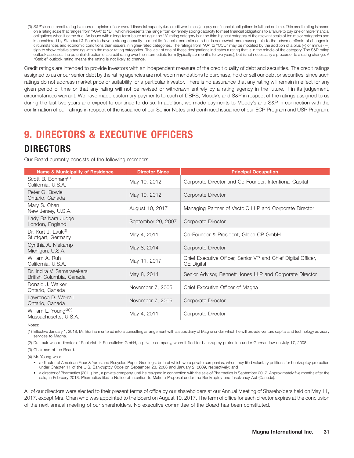(3) S&P's issuer credit rating is a current opinion of our overall financial capacity (i.e. credit worthiness) to pay our financial obligations in full and on time. This credit rating is based on a rating scale that ranges from ''AAA'' to ''D'', which represents the range from extremely strong capacity to meet financial obligations to a failure to pay one or more financial obligations when it came due. An issuer with a long-term issuer rating in the "A" rating category is in the third highest category of the relevant scale of ten major categories and is considered by Standard & Poor's to have a strong capacity to meet its financial commitments but is somewhat more susceptible to the adverse effects of changes in circumstances and economic conditions than issuers in higher-rated categories. The ratings from "AA" to "CCC" may be modified by the addition of a plus (+) or minus (-) sign to show relative standing within the major rating categories. The lack of one of these designations indicates a rating that is in the middle of the category. The S&P rating outlook assesses the potential direction of a credit rating over the intermediate term (typically six months to two years), but is not necessarily a precursor to a rating change. A ''Stable'' outlook rating means the rating is not likely to change.

Credit ratings are intended to provide investors with an independent measure of the credit quality of debt and securities. The credit ratings assigned to us or our senior debt by the rating agencies are not recommendations to purchase, hold or sell our debt or securities, since such ratings do not address market price or suitability for a particular investor. There is no assurance that any rating will remain in effect for any given period of time or that any rating will not be revised or withdrawn entirely by a rating agency in the future, if in its judgement, circumstances warrant. We have made customary payments to each of DBRS, Moody's and S&P in respect of the ratings assigned to us during the last two years and expect to continue to do so. In addition, we made payments to Moody's and S&P in connection with the confirmation of our ratings in respect of the issuance of our Senior Notes and continued issuance of our ECP Program and USP Program.

## **9. DIRECTORS & EXECUTIVE OFFICERS**

## **DIRECTORS**

Our Board currently consists of the following members:

| <b>Name &amp; Municipality of Residence</b>                 | <b>Director Since</b> | <b>Principal Occupation</b>                                                        |
|-------------------------------------------------------------|-----------------------|------------------------------------------------------------------------------------|
| Scott B. Bonham <sup>(1)</sup><br>California, U.S.A.        | May 10, 2012          | Corporate Director and Co-Founder, Intentional Capital                             |
| Peter G. Bowie<br>Ontario, Canada                           | May 10, 2012          | Corporate Director                                                                 |
| Mary S. Chan<br>New Jersey, U.S.A.                          | August 10, 2017       | Managing Partner of VectolQ LLP and Corporate Director                             |
| Lady Barbara Judge<br>London, England                       | September 20, 2007    | Corporate Director                                                                 |
| Dr. Kurt J. Lauk <sup>(2)</sup><br>Stuttgart, Germany       | May 4, 2011           | Co-Founder & President, Globe CP GmbH                                              |
| Cynthia A. Niekamp<br>Michigan, U.S.A.                      | May 8, 2014           | Corporate Director                                                                 |
| William A. Ruh<br>California, U.S.A.                        | May 11, 2017          | Chief Executive Officer, Senior VP and Chief Digital Officer,<br><b>GE</b> Digital |
| Dr. Indira V. Samarasekera<br>British Columbia, Canada      | May 8, 2014           | Senior Advisor, Bennett Jones LLP and Corporate Director                           |
| Donald J. Walker<br>Ontario, Canada                         | November 7, 2005      | Chief Executive Officer of Magna                                                   |
| Lawrence D. Worrall<br>Ontario, Canada                      | November 7, 2005      | Corporate Director                                                                 |
| William L. Young <sup>(3)(4)</sup><br>Massachusetts, U.S.A. | May 4, 2011           | Corporate Director                                                                 |

Notes:

(1) Effective January 1, 2018, Mr. Bonham entered into a consulting arrangement with a subsidiary of Magna under which he will provide venture capital and technology advisory services to Magna.

(2) Dr. Lauk was a director of Papierfabrik Scheuffelen GmbH, a private company, when it filed for bankruptcy protection under German law on July 17, 2008.

(3) Chairman of the Board.

(4) Mr. Young was:

• a director of American Fiber & Yarns and Recycled Paper Greetings, both of which were private companies, when they filed voluntary petitions for bankruptcy protection under Chapter 11 of the U.S. Bankruptcy Code on September 23, 2008 and January 2, 2009, respectively; and

• a director of Pharmetics (2011) Inc., a private company, until he resigned in connection with the sale of Pharmetics in September 2017. Approximately five months after the sale, in February 2018, Pharmetics filed a Notice of Intention to Make a Proposal under the Bankruptcy and Insolvency Act (Canada).

All of our directors were elected to their present terms of office by our shareholders at our Annual Meeting of Shareholders held on May 11, 2017, except Mrs. Chan who was appointed to the Board on August 10, 2017. The term of office for each director expires at the conclusion of the next annual meeting of our shareholders. No executive committee of the Board has been constituted.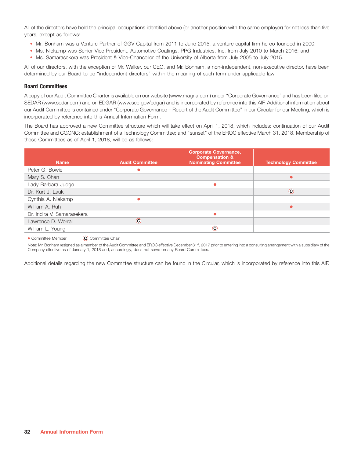All of the directors have held the principal occupations identified above (or another position with the same employer) for not less than five years, except as follows:

- Mr. Bonham was a Venture Partner of GGV Capital from 2011 to June 2015, a venture capital firm he co-founded in 2000;
- Ms. Niekamp was Senior Vice-President, Automotive Coatings, PPG Industries, Inc. from July 2010 to March 2016; and
- Ms. Samarasekera was President & Vice-Chancellor of the University of Alberta from July 2005 to July 2015.

All of our directors, with the exception of Mr. Walker, our CEO, and Mr. Bonham, a non-independent, non-executive director, have been determined by our Board to be ''independent directors'' within the meaning of such term under applicable law.

#### **Board Committees**

A copy of our Audit Committee Charter is available on our website (www.magna.com) under ''Corporate Governance'' and has been filed on SEDAR (www.sedar.com) and on EDGAR (www.sec.gov/edgar) and is incorporated by reference into this AIF. Additional information about our Audit Committee is contained under ''Corporate Governance – Report of the Audit Committee'' in our Circular for our Meeting, which is incorporated by reference into this Annual Information Form.

The Board has approved a new Committee structure which will take effect on April 1, 2018, which includes: continuation of our Audit Committee and CGCNC; establishment of a Technology Committee; and ''sunset'' of the EROC effective March 31, 2018. Membership of these Committees as of April 1, 2018, will be as follows:

| <b>Name</b>                | <b>Audit Committee</b> | <b>Corporate Governance,</b><br><b>Compensation &amp;</b><br><b>Nominating Committee</b> | <b>Technology Committee</b> |
|----------------------------|------------------------|------------------------------------------------------------------------------------------|-----------------------------|
|                            |                        |                                                                                          |                             |
| Peter G. Bowie             |                        |                                                                                          |                             |
| Mary S. Chan               |                        |                                                                                          |                             |
| Lady Barbara Judge         |                        |                                                                                          |                             |
| Dr. Kurt J. Lauk           |                        |                                                                                          | $_{\odot}$                  |
| Cynthia A. Niekamp         |                        |                                                                                          |                             |
| William A. Ruh             |                        |                                                                                          |                             |
| Dr. Indira V. Samarasekera |                        | $\bullet$                                                                                |                             |
| Lawrence D. Worrall        | $\circledcirc$         |                                                                                          |                             |
| William L. Young           |                        | $_{\odot}$                                                                               |                             |

• Committee Member (C) Committee Chair

Note: Mr. Bonham resigned as a member of the Audit Committee and EROC effective December 31st, 2017 prior to entering into a consulting arrangement with a subsidiary of the Company effective as of January 1, 2018 and, accordingly, does not serve on any Board Committees.

Additional details regarding the new Committee structure can be found in the Circular, which is incorporated by reference into this AIF.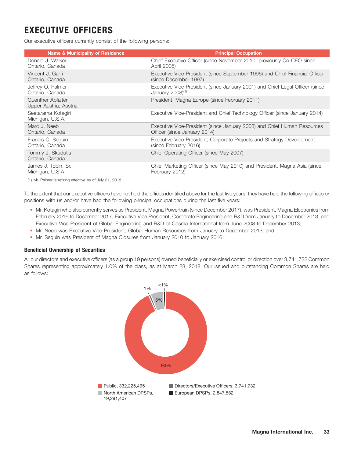## **EXECUTIVE OFFICERS**

Our executive officers currently consist of the following persons:

| <b>Name &amp; Municipality of Residence</b>        | <b>Principal Occupation</b>                                                  |
|----------------------------------------------------|------------------------------------------------------------------------------|
| Donald J. Walker                                   | Chief Executive Officer (since November 2010; previously Co-CEO since        |
| Ontario, Canada                                    | April 2005)                                                                  |
| Vincent J. Galifi                                  | Executive Vice-President (since September 1996) and Chief Financial Officer  |
| Ontario, Canada                                    | (since December 1997)                                                        |
| Jeffrey O. Palmer                                  | Executive Vice-President (since January 2001) and Chief Legal Officer (since |
| Ontario, Canada                                    | January 2008) <sup>(1)</sup>                                                 |
| <b>Guenther Apfalter</b><br>Upper Austria, Austria | President, Magna Europe (since February 2011)                                |
| Seetarama Kotagiri<br>Michigan, U.S.A.             | Executive Vice-President and Chief Technology Officer (since January 2014)   |
| Marc J. Neeb                                       | Executive Vice-President (since January 2003) and Chief Human Resources      |
| Ontario, Canada                                    | Officer (since January 2014)                                                 |
| Francis C. Seguin                                  | Executive Vice-President, Corporate Projects and Strategy Development        |
| Ontario, Canada                                    | (since February 2016)                                                        |
| Tommy J. Skudutis<br>Ontario, Canada               | Chief Operating Officer (since May 2007)                                     |
| James J. Tobin, Sr.                                | Chief Marketing Officer (since May 2010) and President, Magna Asia (since    |
| Michigan, U.S.A.                                   | February 2012)                                                               |

(1) Mr. Palmer is retiring effective as of July 31, 2018.

To the extent that our executive officers have not held the offices identified above for the last five years, they have held the following offices or positions with us and/or have had the following principal occupations during the last five years:

- Mr. Kotagiri who also currently serves as President, Magna Powertrain (since December 2017), was President, Magna Electronics from February 2016 to December 2017, Executive Vice President, Corporate Engineering and R&D from January to December 2013, and Executive Vice President of Global Engineering and R&D of Cosma International from June 2008 to December 2013;
- Mr. Neeb was Executive Vice-President, Global Human Resources from January to December 2013; and
- Mr. Seguin was President of Magna Closures from January 2010 to January 2016.

### **Beneficial Ownership of Securities**

All our directors and executive officers (as a group 19 persons) owned beneficially or exercised control or direction over 3,741,732 Common Shares representing approximately 1.0% of the class, as at March 23, 2018. Our issued and outstanding Common Shares are held as follows:

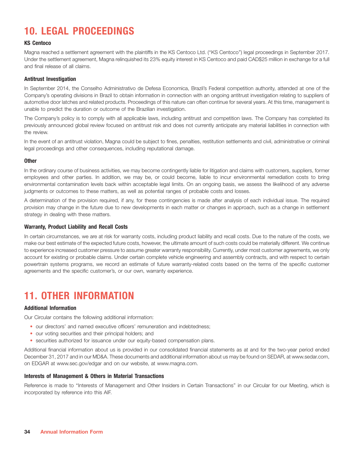## **10. LEGAL PROCEEDINGS**

#### **KS Centoco**

Magna reached a settlement agreement with the plaintiffs in the KS Centoco Ltd. (''KS Centoco'') legal proceedings in September 2017. Under the settlement agreement, Magna relinquished its 23% equity interest in KS Centoco and paid CAD\$25 million in exchange for a full and final release of all claims.

#### **Antitrust Investigation**

In September 2014, the Conselho Administrativo de Defesa Economica, Brazil's Federal competition authority, attended at one of the Company's operating divisions in Brazil to obtain information in connection with an ongoing antitrust investigation relating to suppliers of automotive door latches and related products. Proceedings of this nature can often continue for several years. At this time, management is unable to predict the duration or outcome of the Brazilian investigation.

The Company's policy is to comply with all applicable laws, including antitrust and competition laws. The Company has completed its previously announced global review focused on antitrust risk and does not currently anticipate any material liabilities in connection with the review.

In the event of an antitrust violation, Magna could be subject to fines, penalties, restitution settlements and civil, administrative or criminal legal proceedings and other consequences, including reputational damage.

#### **Other**

In the ordinary course of business activities, we may become contingently liable for litigation and claims with customers, suppliers, former employees and other parties. In addition, we may be, or could become, liable to incur environmental remediation costs to bring environmental contamination levels back within acceptable legal limits. On an ongoing basis, we assess the likelihood of any adverse judgments or outcomes to these matters, as well as potential ranges of probable costs and losses.

A determination of the provision required, if any, for these contingencies is made after analysis of each individual issue. The required provision may change in the future due to new developments in each matter or changes in approach, such as a change in settlement strategy in dealing with these matters.

#### **Warranty, Product Liability and Recall Costs**

In certain circumstances, we are at risk for warranty costs, including product liability and recall costs. Due to the nature of the costs, we make our best estimate of the expected future costs, however, the ultimate amount of such costs could be materially different. We continue to experience increased customer pressure to assume greater warranty responsibility. Currently, under most customer agreements, we only account for existing or probable claims. Under certain complete vehicle engineering and assembly contracts, and with respect to certain powertrain systems programs, we record an estimate of future warranty-related costs based on the terms of the specific customer agreements and the specific customer's, or our own, warranty experience.

## **11. OTHER INFORMATION**

#### **Additional Information**

Our Circular contains the following additional information:

- our directors' and named executive officers' remuneration and indebtedness;
- our voting securities and their principal holders; and
- securities authorized for issuance under our equity-based compensation plans.

Additional financial information about us is provided in our consolidated financial statements as at and for the two-year period ended December 31, 2017 and in our MD&A. These documents and additional information about us may be found on SEDAR, at www.sedar.com, on EDGAR at www.sec.gov/edgar and on our website, at www.magna.com.

#### **Interests of Management & Others in Material Transactions**

Reference is made to ''Interests of Management and Other Insiders in Certain Transactions'' in our Circular for our Meeting, which is incorporated by reference into this AIF.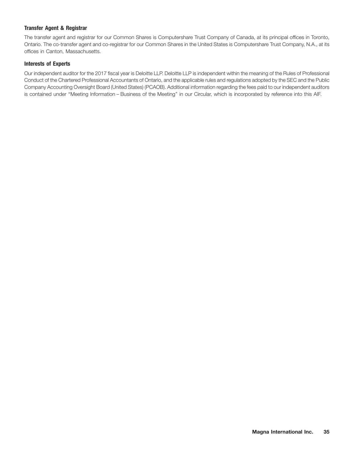### **Transfer Agent & Registrar**

The transfer agent and registrar for our Common Shares is Computershare Trust Company of Canada, at its principal offices in Toronto, Ontario. The co-transfer agent and co-registrar for our Common Shares in the United States is Computershare Trust Company, N.A., at its offices in Canton, Massachusetts.

### **Interests of Experts**

Our independent auditor for the 2017 fiscal year is Deloitte LLP. Deloitte LLP is independent within the meaning of the Rules of Professional Conduct of the Chartered Professional Accountants of Ontario, and the applicable rules and regulations adopted by the SEC and the Public Company Accounting Oversight Board (United States) (PCAOB). Additional information regarding the fees paid to our independent auditors is contained under ''Meeting Information – Business of the Meeting'' in our Circular, which is incorporated by reference into this AIF.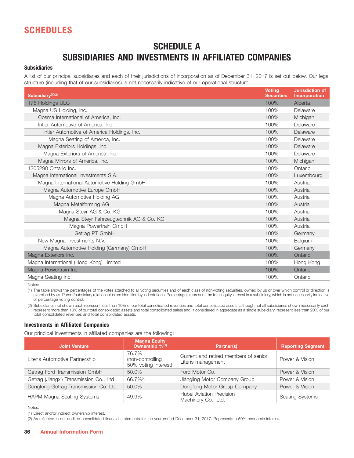## **SCHEDULES**

## **SCHEDULE A SUBSIDIARIES AND INVESTMENTS IN AFFILIATED COMPANIES**

### **Subsidiaries**

A list of our principal subsidiaries and each of their jurisdictions of incorporation as of December 31, 2017 is set out below. Our legal structure (including that of our subsidiaries) is not necessarily indicative of our operational structure.

| Subsidiary <sup>(1)(2)</sup>                | <b>Voting</b><br><b>Securities</b> | <b>Jurisdiction of</b><br><b>Incorporation</b> |
|---------------------------------------------|------------------------------------|------------------------------------------------|
| 175 Holdings ULC                            | 100%                               | Alberta                                        |
| Magna US Holding, Inc.                      |                                    | Delaware                                       |
| Cosma International of America, Inc.        | 100%                               | Michigan                                       |
| Intier Automotive of America, Inc.          | 100%                               | Delaware                                       |
| Intier Automotive of America Holdings, Inc. | 100%                               | Delaware                                       |
| Magna Seating of America, Inc.              | 100%                               | Delaware                                       |
| Magna Exteriors Holdings, Inc.              | 100%                               | Delaware                                       |
| Magna Exteriors of America, Inc.            | 100%                               | Delaware                                       |
| Magna Mirrors of America, Inc.              | 100%                               | Michigan                                       |
| 1305290 Ontario Inc.                        | 100%                               | Ontario                                        |
| Magna International Investments S.A.        |                                    | Luxembourg                                     |
| Magna International Automotive Holding GmbH | 100%                               | Austria                                        |
| Magna Automotive Europe GmbH                | 100%                               | Austria                                        |
| Magna Automotive Holding AG                 |                                    | Austria                                        |
| Magna Metalforming AG                       |                                    | Austria                                        |
| Magna Steyr AG & Co. KG                     |                                    | Austria                                        |
| Magna Steyr Fahrzeugtechnik AG & Co. KG     |                                    | Austria                                        |
| Magna Powertrain GmbH                       |                                    | Austria                                        |
| Getrag PT GmbH                              | 100%                               | Germany                                        |
| New Magna Investments N.V.                  | 100%                               | Belgium                                        |
| Magna Automotive Holding (Germany) GmbH     |                                    | Germany                                        |
| Magna Exteriors Inc.                        |                                    | Ontario                                        |
| Magna International (Hong Kong) Limited     |                                    | Hong Kong                                      |
| Magna Powertrain Inc.                       | 100%                               | Ontario                                        |
| Magna Seating Inc.                          | 100%                               | Ontario                                        |

Notes:

(1) The table shows the percentages of the votes attached to all voting securities and of each class of non-voting securities, owned by us or over which control or direction is exercised by us. Parent/subsidiary relationships are identified by indentations. Percentages represent the total equity interest in a subsidiary, which is not necessarily indicative of percentage voting control.

(2) Subsidiaries not shown each represent less than 10% of our total consolidated revenues and total consolidated assets (although not all subsidiaries shown necessarily each represent more than 10% of our total consolidated assets and total consolidated sales) and, if considered in aggregate as a single subsidiary, represent less than 20% of our total consolidated revenues and total consolidated assets.

#### **Investments in Affiliated Companies**

Our principal investments in affiliated companies are the following:

| <b>Joint Venture</b>                   | <b>Magna Equity</b><br>Ownership %(1)             | Partner(s)                                                 | <b>Reporting Segment</b> |
|----------------------------------------|---------------------------------------------------|------------------------------------------------------------|--------------------------|
| Litens Automotive Partnership          | 76.7%<br>(non-controlling<br>50% voting interest) | Current and retired members of senior<br>Litens management | Power & Vision           |
| Getrag Ford Transmission GmbH          | 50.0%                                             | Ford Motor Co.                                             | Power & Vision           |
| Getrag (Jiangxi) Transmission Co., Ltd | $66.7\%^{(2)}$                                    | Jiangling Motor Company Group                              | Power & Vision           |
| Dongfeng Getrag Transmission Co. Ltd   | 50.0%                                             | Dongfeng Motor Group Company                               | Power & Vision           |
| HAPM Magna Seating Systems             | 49.9%                                             | Hubei Aviation Precision<br>Machinery Co., Ltd.            | <b>Seating Systems</b>   |

Notes:

(1) Direct and/or indirect ownership interest.

(2) As reflected in our audited consolidated financial statements for the year ended December 31, 2017. Represents a 50% economic interest.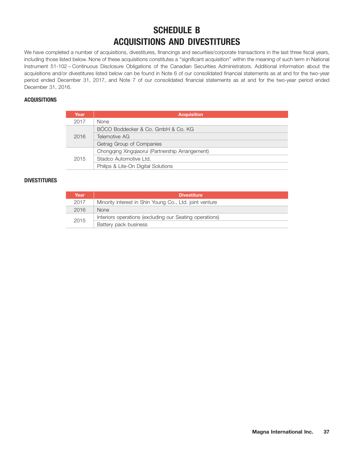## **SCHEDULE B ACQUISITIONS AND DIVESTITURES**

We have completed a number of acquisitions, divestitures, financings and securities/corporate transactions in the last three fiscal years, including those listed below. None of these acquisitions constitutes a ''significant acquisition'' within the meaning of such term in National Instrument 51-102 – Continuous Disclosure Obligations of the Canadian Securities Administrators. Additional information about the acquisitions and/or divestitures listed below can be found in Note 6 of our consolidated financial statements as at and for the two-year period ended December 31, 2017, and Note 7 of our consolidated financial statements as at and for the two-year period ended December 31, 2016.

### **ACQUISITIONS**

| Year | <b>Acquisition</b>                              |  |  |  |
|------|-------------------------------------------------|--|--|--|
| 2017 | <b>None</b>                                     |  |  |  |
| 2016 | BÖCO Boddecker & Co. GmbH & Co. KG              |  |  |  |
|      | Telemotive AG                                   |  |  |  |
|      | Getrag Group of Companies                       |  |  |  |
| 2015 | Chongging Xinggiaorui (Partnership Arrangement) |  |  |  |
|      | Stadco Automotive Ltd.                          |  |  |  |
|      | Philips & Lite-On Digital Solutions             |  |  |  |

### **DIVESTITURES**

| Year | <b>Divestiture</b>                                      |
|------|---------------------------------------------------------|
| 2017 | Minority interest in Shin Young Co., Ltd. joint venture |
| 2016 | <b>None</b>                                             |
| 2015 | Interiors operations (excluding our Seating operations) |
|      | Battery pack business                                   |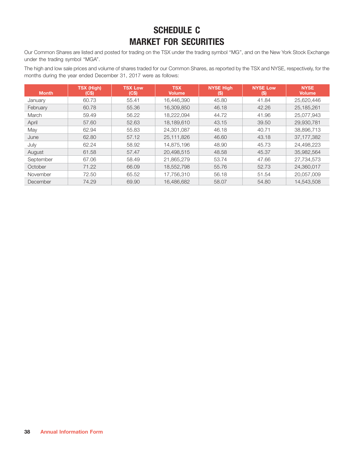## **SCHEDULE C MARKET FOR SECURITIES**

Our Common Shares are listed and posted for trading on the TSX under the trading symbol ''MG'', and on the New York Stock Exchange under the trading symbol "MGA".

The high and low sale prices and volume of shares traded for our Common Shares, as reported by the TSX and NYSE, respectively, for the months during the year ended December 31, 2017 were as follows:

| <b>Month</b> | <b>TSX (High)</b><br>(C\$) | <b>TSX Low</b><br>(C\$) | <b>TSX</b><br><b>Volume</b> | <b>NYSE High</b><br>(S) | <b>NYSE Low</b><br>$\left(5\right)$ | <b>NYSE</b><br><b>Volume</b> |
|--------------|----------------------------|-------------------------|-----------------------------|-------------------------|-------------------------------------|------------------------------|
| January      | 60.73                      | 55.41                   | 16.446.390                  | 45.80                   | 41.84                               | 25,620,446                   |
| February     | 60.78                      | 55.36                   | 16,309,850                  | 46.18                   | 42.26                               | 25, 185, 261                 |
| March        | 59.49                      | 56.22                   | 18,222,094                  | 44.72                   | 41.96                               | 25,077,943                   |
| April        | 57.60                      | 52.63                   | 18.189.610                  | 43.15                   | 39.50                               | 29.930.781                   |
| May          | 62.94                      | 55.83                   | 24,301,087                  | 46.18                   | 40.71                               | 38,896,713                   |
| June         | 62.80                      | 57.12                   | 25.111.826                  | 46.60                   | 43.18                               | 37, 177, 382                 |
| July         | 62.24                      | 58.92                   | 14.875.196                  | 48.90                   | 45.73                               | 24.498.223                   |
| August       | 61.58                      | 57.47                   | 20.498.515                  | 48.58                   | 45.37                               | 35,982,564                   |
| September    | 67.06                      | 58.49                   | 21.865.279                  | 53.74                   | 47.66                               | 27,734,573                   |
| October      | 71.22                      | 66.09                   | 18,552,798                  | 55.76                   | 52.73                               | 24,360,017                   |
| November     | 72.50                      | 65.52                   | 17,756,310                  | 56.18                   | 51.54                               | 20.057.009                   |
| December     | 74.29                      | 69.90                   | 16.486.682                  | 58.07                   | 54.80                               | 14.543.508                   |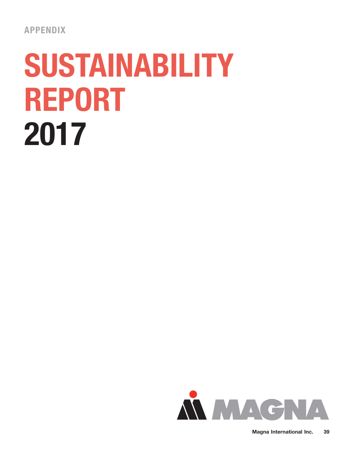# **SUSTAINABILITY REPORT 2017**

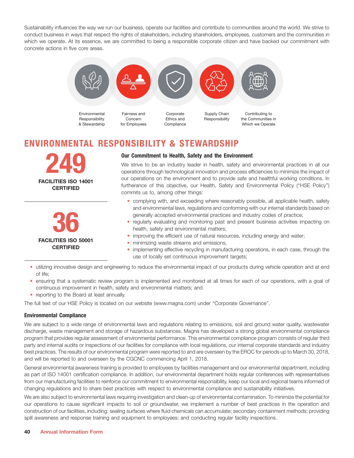Sustainability influences the way we run our business, operate our facilities and contribute to communities around the world. We strive to conduct business in ways that respect the rights of stakeholders, including shareholders, employees, customers and the communities in which we operate. At its essence, we are committed to being a responsible corporate citizen and have backed our commitment with concrete actions in five core areas.



## **ENVIRONMENTAL RESPONSIBILITY & STEWARDSHIP**





### **Our Commitment to Health, Safety and the Environment**

We strive to be an industry leader in health, safety and environmental practices in all our operations through technological innovation and process efficiencies to minimize the impact of our operations on the environment and to provide safe and healthful working conditions. In furtherance of this objective, our Health, Safety and Environmental Policy ("HSE Policy") commits us to, among other things:

- complying with, and exceeding where reasonably possible, all applicable health, safety and environmental laws, regulations and conforming with our internal standards based on generally accepted environmental practices and industry codes of practice;
- regularly evaluating and monitoring past and present business activities impacting on health, safety and environmental matters;
- improving the efficient use of natural resources, including energy and water;
- minimizing waste streams and emissions,
- implementing effective recycling in manufacturing operations, in each case, through the use of locally set continuous improvement targets;
- utilizing innovative design and engineering to reduce the environmental impact of our products during vehicle operation and at end of life;
- ensuring that a systematic review program is implemented and monitored at all times for each of our operations, with a goal of continuous improvement in health, safety and environmental matters; and
- reporting to the Board at least annually.

The full text of our HSE Policy is located on our website (www.magna.com) under ''Corporate Governance''.

### **Environmental Compliance**

We are subject to a wide range of environmental laws and regulations relating to emissions, soil and ground water quality, wastewater discharge, waste management and storage of hazardous substances. Magna has developed a strong global environmental compliance program that provides regular assessment of environmental performance. This environmental compliance program consists of regular third party and internal audits or inspections of our facilities for compliance with local regulations, our internal corporate standards and industry best practices. The results of our environmental program were reported to and are overseen by the EROC for periods up to March 30, 2018, and will be reported to and overseen by the CGCNC commencing April 1, 2018.

General environmental awareness training is provided to employees by facilities management and our environmental department, including as part of ISO 14001 certification compliance. In addition, our environmental department holds regular conferences with representatives from our manufacturing facilities to reinforce our commitment to environmental responsibility, keep our local and regional teams informed of changing regulations and to share best practices with respect to environmental compliance and sustainability initiatives.

We are also subject to environmental laws requiring investigation and clean-up of environmental contamination. To minimize the potential for our operations to cause significant impacts to soil or groundwater, we implement a number of best practices in the operation and construction of our facilities, including: sealing surfaces where fluid chemicals can accumulate; secondary containment methods; providing spill awareness and response training and equipment to employees; and conducting regular facility inspections.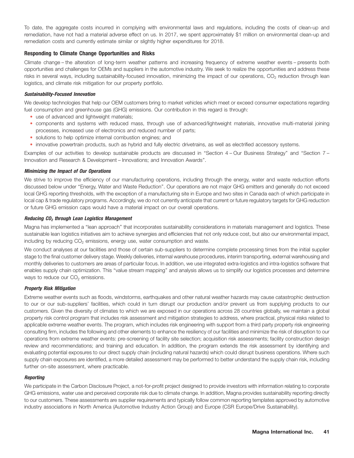To date, the aggregate costs incurred in complying with environmental laws and regulations, including the costs of clean-up and remediation, have not had a material adverse effect on us. In 2017, we spent approximately \$1 million on environmental clean-up and remediation costs and currently estimate similar or slightly higher expenditures for 2018.

### **Responding to Climate Change Opportunities and Risks**

Climate change – the alteration of long-term weather patterns and increasing frequency of extreme weather events – presents both opportunities and challenges for OEMs and suppliers in the automotive industry. We seek to realize the opportunities and address these risks in several ways, including sustainability-focused innovation, minimizing the impact of our operations, CO<sub>2</sub> reduction through lean logistics, and climate risk mitigation for our property portfolio.

#### *Sustainability-Focused Innovation*

We develop technologies that help our OEM customers bring to market vehicles which meet or exceed consumer expectations regarding fuel consumption and greenhouse gas (GHG) emissions. Our contribution in this regard is through:

- use of advanced and lightweight materials;
- components and systems with reduced mass, through use of advanced/lightweight materials, innovative multi-material joining processes, increased use of electronics and reduced number of parts;
- solutions to help optimize internal combustion engines; and
- innovative powertrain products, such as hybrid and fully electric drivetrains, as well as electrified accessory systems.

Examples of our activities to develop sustainable products are discussed in ''Section 4 – Our Business Strategy'' and ''Section 7 – Innovation and Research & Development – Innovations; and Innovation Awards''.

#### *Minimizing the Impact of Our Operations*

We strive to improve the efficiency of our manufacturing operations, including through the energy, water and waste reduction efforts discussed below under ''Energy, Water and Waste Reduction''. Our operations are not major GHG emitters and generally do not exceed local GHG reporting thresholds, with the exception of a manufacturing site in Europe and two sites in Canada each of which participate in local cap & trade regulatory programs. Accordingly, we do not currently anticipate that current or future regulatory targets for GHG reduction or future GHG emission caps would have a material impact on our overall operations.

#### *Reducing CO2 through Lean Logistics Management*

Magna has implemented a ''lean approach'' that incorporates sustainability considerations in materials management and logistics. These sustainable lean logistics initiatives aim to achieve synergies and efficiencies that not only reduce cost, but also our environmental impact, including by reducing CO<sub>2</sub> emissions, energy use, water consumption and waste.

We conduct analyses at our facilities and those of certain sub-suppliers to determine complete processing times from the initial supplier stage to the final customer delivery stage. Weekly deliveries, internal warehouse procedures, interim transporting, external warehousing and monthly deliveries to customers are areas of particular focus. In addition, we use integrated extra-logistics and intra-logistics software that enables supply chain optimization. This ''value stream mapping'' and analysis allows us to simplify our logistics processes and determine ways to reduce our  $CO<sub>2</sub>$  emissions.

#### *Property Risk Mitigation*

Extreme weather events such as floods, windstorms, earthquakes and other natural weather hazards may cause catastrophic destruction to our or our sub-suppliers' facilities, which could in turn disrupt our production and/or prevent us from supplying products to our customers. Given the diversity of climates to which we are exposed in our operations across 28 countries globally, we maintain a global property risk control program that includes risk assessment and mitigation strategies to address, where practical, physical risks related to applicable extreme weather events. The program, which includes risk engineering with support from a third party property risk engineering consulting firm, includes the following and other elements to enhance the resiliency of our facilities and minimize the risk of disruption to our operations from extreme weather events: pre-screening of facility site selection; acquisition risk assessments; facility construction design review and recommendations; and training and education. In addition, the program extends the risk assessment by identifying and evaluating potential exposures to our direct supply chain (including natural hazards) which could disrupt business operations. Where such supply chain exposures are identified, a more detailed assessment may be performed to better understand the supply chain risk, including further on-site assessment, where practicable.

#### *Reporting*

We participate in the Carbon Disclosure Project, a not-for-profit project designed to provide investors with information relating to corporate GHG emissions, water use and perceived corporate risk due to climate change. In addition, Magna provides sustainability reporting directly to our customers. These assessments are supplier requirements and typically follow common reporting templates approved by automotive industry associations in North America (Automotive Industry Action Group) and Europe (CSR Europe/Drive Sustainability).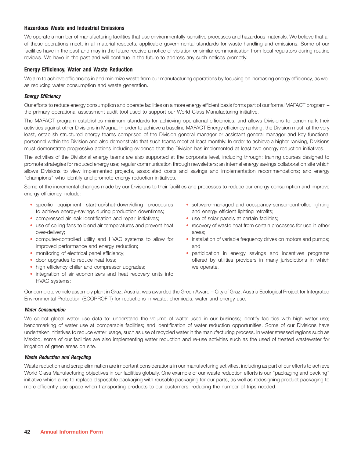### **Hazardous Waste and Industrial Emissions**

We operate a number of manufacturing facilities that use environmentally-sensitive processes and hazardous materials. We believe that all of these operations meet, in all material respects, applicable governmental standards for waste handling and emissions. Some of our facilities have in the past and may in the future receive a notice of violation or similar communication from local regulators during routine reviews. We have in the past and will continue in the future to address any such notices promptly.

#### **Energy Efficiency, Water and Waste Reduction**

We aim to achieve efficiencies in and minimize waste from our manufacturing operations by focusing on increasing energy efficiency, as well as reducing water consumption and waste generation.

#### *Energy Efficiency*

Our efforts to reduce energy consumption and operate facilities on a more energy efficient basis forms part of our formal MAFACT program – the primary operational assessment audit tool used to support our World Class Manufacturing initiative.

The MAFACT program establishes minimum standards for achieving operational efficiencies, and allows Divisions to benchmark their activities against other Divisions in Magna. In order to achieve a baseline MAFACT Energy efficiency ranking, the Division must, at the very least, establish structured energy teams comprised of the Division general manager or assistant general manager and key functional personnel within the Division and also demonstrate that such teams meet at least monthly. In order to achieve a higher ranking, Divisions must demonstrate progressive actions including evidence that the Division has implemented at least two energy reduction initiatives.

The activities of the Divisional energy teams are also supported at the corporate level, including through: training courses designed to promote strategies for reduced energy use; regular communication through newsletters; an internal energy savings collaboration site which allows Divisions to view implemented projects, associated costs and savings and implementation recommendations; and energy "champions" who identify and promote energy reduction initiatives.

Some of the incremental changes made by our Divisions to their facilities and processes to reduce our energy consumption and improve energy efficiency include:

- to achieve energy-savings during production downtimes; and energy efficient lighting retrofits; • specific equipment start-up/shut-down/idling procedures
- compressed air leak Identification and repair initiatives; The use of solar panels at certain facilities;
- over-delivery; areas; areas; areas; areas; areas; areas; areas; areas; areas; areas; areas; areas; areas; areas; areas; areas; areas; areas; areas; areas; areas; areas; areas; areas; areas; areas; areas; areas; areas; area • use of ceiling fans to blend air temperatures and prevent heat
- improved performance and energy reduction; and and • computer-controlled utility and HVAC systems to allow for
- monitoring of electrical panel efficiency;
- · door upgrades to reduce heat loss;
- high efficiency chiller and compressor upgrades; we we operate.
- integration of air economizers and heat recovery units into HVAC systems;
- software-managed and occupancy-sensor-controlled lighting
- 
- recovery of waste heat from certain processes for use in other
- installation of variable frequency drives on motors and pumps;
- participation in energy savings and incentives programs offered by utilities providers in many jurisdictions in which

Our complete vehicle assembly plant in Graz, Austria, was awarded the Green Award – City of Graz, Austria Ecological Project for Integrated Environmental Protection (ECOPROFIT) for reductions in waste, chemicals, water and energy use.

#### *Water Consumption*

We collect global water use data to: understand the volume of water used in our business; identify facilities with high water use; benchmarking of water use at comparable facilities; and identification of water reduction opportunities. Some of our Divisions have undertaken initiatives to reduce water usage, such as use of recycled water in the manufacturing process. In water stressed regions such as Mexico, some of our facilities are also implementing water reduction and re-use activities such as the used of treated wastewater for irrigation of green areas on site.

#### *Waste Reduction and Recycling*

Waste reduction and scrap elimination are important considerations in our manufacturing activities, including as part of our efforts to achieve World Class Manufacturing objectives in our facilities globally. One example of our waste reduction efforts is our ''packaging and packing'' initiative which aims to replace disposable packaging with reusable packaging for our parts, as well as redesigning product packaging to more efficiently use space when transporting products to our customers; reducing the number of trips needed.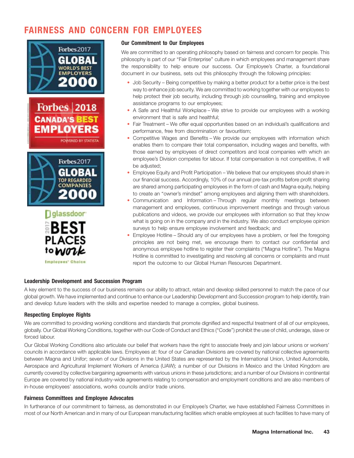## **FAIRNESS AND CONCERN FOR EMPLOYEES**









**Our Commitment to Our Employees**

We are committed to an operating philosophy based on fairness and concern for people. This philosophy is part of our ''Fair Enterprise'' culture in which employees and management share the responsibility to help ensure our success. Our Employee's Charter, a foundational document in our business, sets out this philosophy through the following principles:

- Job Security Being competitive by making a better product for a better price is the best way to enhance job security. We are committed to working together with our employees to help protect their job security, including through job counselling, training and employee assistance programs to our employees;
- A Safe and Healthful Workplace We strive to provide our employees with a working environment that is safe and healthful;
- Fair Treatment We offer equal opportunities based on an individual's qualifications and performance, free from discrimination or favouritism;
- Competitive Wages and Benefits We provide our employees with information which enables them to compare their total compensation, including wages and benefits, with those earned by employees of direct competitors and local companies with which an employee's Division competes for labour. If total compensation is not competitive, it will be adjusted;
- Employee Equity and Profit Participation We believe that our employees should share in our financial success. Accordingly, 10% of our annual pre-tax profits before profit sharing are shared among participating employees in the form of cash and Magna equity, helping to create an ''owner's mindset'' among employees and aligning them with shareholders.
- Communication and Information Through regular monthly meetings between management and employees, continuous improvement meetings and through various publications and videos, we provide our employees with information so that they know what is going on in the company and in the industry. We also conduct employee opinion surveys to help ensure employee involvement and feedback; and •
- Employee Hotline Should any of our employees have a problem, or feel the foregoing principles are not being met, we encourage them to contact our confidential and anonymous employee hotline to register their complaints (''Magna Hotline''). The Magna Hotline is committed to investigating and resolving all concerns or complaints and must report the outcome to our Global Human Resources Department.

### **Leadership Development and Succession Program**

A key element to the success of our business remains our ability to attract, retain and develop skilled personnel to match the pace of our global growth. We have implemented and continue to enhance our Leadership Development and Succession program to help identify, train and develop future leaders with the skills and expertise needed to manage a complex, global business.

### **Respecting Employee Rights**

We are committed to providing working conditions and standards that promote dignified and respectful treatment of all of our employees, globally. Our Global Working Conditions, together with our Code of Conduct and Ethics (''Code'') prohibit the use of child, underage, slave or forced labour.

Our Global Working Conditions also articulate our belief that workers have the right to associate freely and join labour unions or workers' councils in accordance with applicable laws. Employees at: four of our Canadian Divisions are covered by national collective agreements between Magna and Unifor; seven of our Divisions in the United States are represented by the International Union, United Automobile, Aerospace and Agricultural Implement Workers of America (UAW); a number of our Divisions in Mexico and the United Kingdom are currently covered by collective bargaining agreements with various unions in these jurisdictions; and a number of our Divisions in continental Europe are covered by national industry-wide agreements relating to compensation and employment conditions and are also members of in-house employees' associations, works councils and/or trade unions.

#### **Fairness Committees and Employee Advocates**

In furtherance of our commitment to fairness, as demonstrated in our Employee's Charter, we have established Fairness Committees in most of our North American and in many of our European manufacturing facilities which enable employees at such facilities to have many of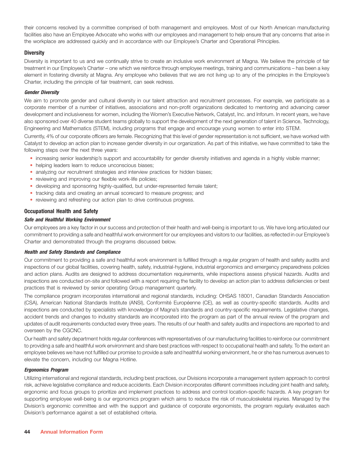their concerns resolved by a committee comprised of both management and employees. Most of our North American manufacturing facilities also have an Employee Advocate who works with our employees and management to help ensure that any concerns that arise in the workplace are addressed quickly and in accordance with our Employee's Charter and Operational Principles.

### **Diversity**

Diversity is important to us and we continually strive to create an inclusive work environment at Magna. We believe the principle of fair treatment in our Employee's Charter – one which we reinforce through employee meetings, training and communications – has been a key element in fostering diversity at Magna. Any employee who believes that we are not living up to any of the principles in the Employee's Charter, including the principle of fair treatment, can seek redress.

#### *Gender Diversity*

We aim to promote gender and cultural diversity in our talent attraction and recruitment processes. For example, we participate as a corporate member of a number of initiatives, associations and non-profit organizations dedicated to mentoring and advancing career development and inclusiveness for women, including the Women's Executive Network, Catalyst, Inc. and Inforum. In recent years, we have also sponsored over 40 diverse student teams globally to support the development of the next generation of talent in Science, Technology, Engineering and Mathematics (STEM), including programs that engage and encourage young women to enter into STEM.

Currently, 4% of our corporate officers are female. Recognizing that this level of gender representation is not sufficient, we have worked with Catalyst to develop an action plan to increase gender diversity in our organization. As part of this initiative, we have committed to take the following steps over the next three years:

- increasing senior leadership's support and accountability for gender diversity initiatives and agenda in a highly visible manner;
- helping leaders learn to reduce unconscious biases;
- analyzing our recruitment strategies and interview practices for hidden biases;
- reviewing and improving our flexible work-life policies;
- developing and sponsoring highly-qualified, but under-represented female talent;
- tracking data and creating an annual scorecard to measure progress; and
- reviewing and refreshing our action plan to drive continuous progress.

### **Occupational Health and Safety**

### *Safe and Healthful Working Environment*

Our employees are a key factor in our success and protection of their health and well-being is important to us. We have long articulated our commitment to providing a safe and healthful work environment for our employees and visitors to our facilities, as reflected in our Employee's Charter and demonstrated through the programs discussed below.

#### *Health and Safety Standards and Compliance*

Our commitment to providing a safe and healthful work environment is fulfilled through a regular program of health and safety audits and inspections of our global facilities, covering health, safety, industrial-hygiene, industrial ergonomics and emergency preparedness policies and action plans. Audits are designed to address documentation requirements, while inspections assess physical hazards. Audits and inspections are conducted on-site and followed with a report requiring the facility to develop an action plan to address deficiencies or best practices that is reviewed by senior operating Group management quarterly.

The compliance program incorporates international and regional standards, including: OHSAS 18001, Canadian Standards Association (CSA), American National Standards Institute (ANSI), Conformité Européenne (CE), as well as country-specific standards. Audits and inspections are conducted by specialists with knowledge of Magna's standards and country-specific requirements. Legislative changes, accident trends and changes to industry standards are incorporated into the program as part of the annual review of the program and updates of audit requirements conducted every three years. The results of our health and safety audits and inspections are reported to and overseen by the CGCNC.

Our health and safety department holds regular conferences with representatives of our manufacturing facilities to reinforce our commitment to providing a safe and healthful work environment and share best practices with respect to occupational health and safety. To the extent an employee believes we have not fulfilled our promise to provide a safe and healthful working environment, he or she has numerous avenues to elevate the concern, including our Magna Hotline.

#### *Ergonomics Program*

Utilizing international and regional standards, including best practices, our Divisions incorporate a management system approach to control risk, achieve legislative compliance and reduce accidents. Each Division incorporates different committees including joint health and safety, ergonomic and focus groups to prioritize and implement practices to address and control location-specific hazards. A key program for supporting employee well-being is our ergonomics program which aims to reduce the risk of musculoskeletal injuries. Managed by the Division's ergonomic committee and with the support and guidance of corporate ergonomists, the program regularly evaluates each Division's performance against a set of established criteria.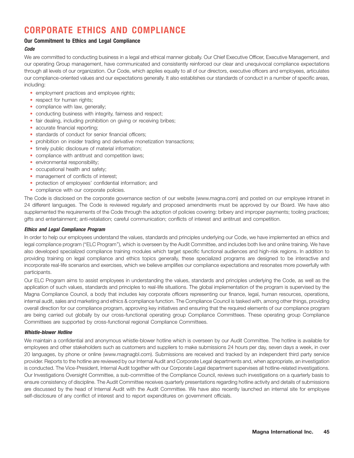## **CORPORATE ETHICS AND COMPLIANCE**

### **Our Commitment to Ethics and Legal Compliance**

### *Code*

We are committed to conducting business in a legal and ethical manner globally. Our Chief Executive Officer, Executive Management, and our operating Group management, have communicated and consistently reinforced our clear and unequivocal compliance expectations through all levels of our organization. Our Code, which applies equally to all of our directors, executive officers and employees, articulates our compliance-oriented values and our expectations generally. It also establishes our standards of conduct in a number of specific areas, including:

- employment practices and employee rights;
- respect for human rights;
- compliance with law, generally;
- conducting business with integrity, fairness and respect;
- fair dealing, including prohibition on giving or receiving bribes;
- accurate financial reporting;
- standards of conduct for senior financial officers;
- prohibition on insider trading and derivative monetization transactions;
- timely public disclosure of material information;
- compliance with antitrust and competition laws;
- environmental responsibility;
- occupational health and safety;
- management of conflicts of interest;
- protection of employees' confidential information; and
- compliance with our corporate policies.

The Code is disclosed on the corporate governance section of our website (www.magna.com) and posted on our employee intranet in 24 different languages. The Code is reviewed regularly and proposed amendments must be approved by our Board. We have also supplemented the requirements of the Code through the adoption of policies covering: bribery and improper payments; tooling practices; gifts and entertainment; anti-retaliation; careful communication; conflicts of interest and antitrust and competition.

#### *Ethics and Legal Compliance Program*

In order to help our employees understand the values, standards and principles underlying our Code, we have implemented an ethics and legal compliance program (''ELC Program''), which is overseen by the Audit Committee, and includes both live and online training. We have also developed specialized compliance training modules which target specific functional audiences and high-risk regions. In addition to providing training on legal compliance and ethics topics generally, these specialized programs are designed to be interactive and incorporate real-life scenarios and exercises, which we believe amplifies our compliance expectations and resonates more powerfully with participants.

Our ELC Program aims to assist employees in understanding the values, standards and principles underlying the Code, as well as the application of such values, standards and principles to real-life situations. The global implementation of the program is supervised by the Magna Compliance Council, a body that includes key corporate officers representing our finance, legal, human resources, operations, internal audit, sales and marketing and ethics & compliance function. The Compliance Council is tasked with, among other things, providing overall direction for our compliance program, approving key initiatives and ensuring that the required elements of our compliance program are being carried out globally by our cross-functional operating group Compliance Committees. These operating group Compliance Committees are supported by cross-functional regional Compliance Committees.

#### *Whistle-blower Hotline*

We maintain a confidential and anonymous whistle-blower hotline which is overseen by our Audit Committee. The hotline is available for employees and other stakeholders such as customers and suppliers to make submissions 24 hours per day, seven days a week, in over 20 languages, by phone or online (www.magnagbl.com). Submissions are received and tracked by an independent third party service provider. Reports to the hotline are reviewed by our Internal Audit and Corporate Legal departments and, when appropriate, an investigation is conducted. The Vice-President, Internal Audit together with our Corporate Legal department supervises all hotline-related investigations. Our Investigations Oversight Committee, a sub-committee of the Compliance Council, reviews such investigations on a quarterly basis to ensure consistency of discipline. The Audit Committee receives quarterly presentations regarding hotline activity and details of submissions are discussed by the head of Internal Audit with the Audit Committee. We have also recently launched an internal site for employee self-disclosure of any conflict of interest and to report expenditures on government officials.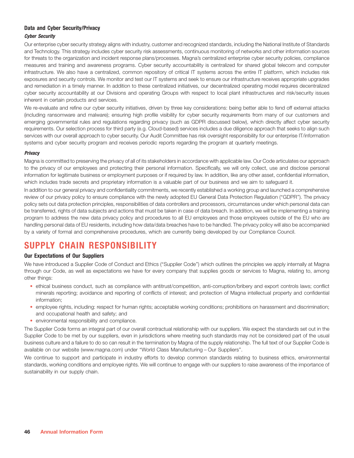### **Data and Cyber Security/Privacy**

### *Cyber Security*

Our enterprise cyber security strategy aligns with industry, customer and recognized standards, including the National Institute of Standards and Technology. This strategy includes cyber security risk assessments, continuous monitoring of networks and other information sources for threats to the organization and incident response plans/processes. Magna's centralized enterprise cyber security policies, compliance measures and training and awareness programs. Cyber security accountability is centralized for shared global telecom and computer infrastructure. We also have a centralized, common repository of critical IT systems across the entire IT platform, which includes risk exposures and security controls. We monitor and test our IT systems and seek to ensure our infrastructure receives appropriate upgrades and remediation in a timely manner. In addition to these centralized initiatives, our decentralized operating model requires decentralized cyber security accountability at our Divisions and operating Groups with respect to local plant infrastructures and risk/security issues inherent in certain products and services.

We re-evaluate and refine our cyber security initiatives, driven by three key considerations: being better able to fend off external attacks (including ransomware and malware); ensuring high profile visibility for cyber security requirements from many of our customers and emerging governmental rules and regulations regarding privacy (such as GDPR discussed below), which directly affect cyber security requirements. Our selection process for third party (e.g. Cloud-based) services includes a due diligence approach that seeks to align such services with our overall approach to cyber security. Our Audit Committee has risk oversight responsibility for our enterprise IT/information systems and cyber security program and receives periodic reports regarding the program at quarterly meetings.

#### *Privacy*

Magna is committed to preserving the privacy of all of its stakeholders in accordance with applicable law. Our Code articulates our approach to the privacy of our employees and protecting their personal information. Specifically, we will only collect, use and disclose personal information for legitimate business or employment purposes or if required by law. In addition, like any other asset, confidential information, which includes trade secrets and proprietary information is a valuable part of our business and we aim to safeguard it.

In addition to our general privacy and confidentiality commitments, we recently established a working group and launched a comprehensive review of our privacy policy to ensure compliance with the newly adopted EU General Data Protection Regulation (''GDPR''). The privacy policy sets out data protection principles, responsibilities of data controllers and processors, circumstances under which personal data can be transferred, rights of data subjects and actions that must be taken in case of data breach. In addition, we will be implementing a training program to address the new data privacy policy and procedures to all EU employees and those employees outside of the EU who are handling personal data of EU residents, including how data/data breaches have to be handled. The privacy policy will also be accompanied by a variety of formal and comprehensive procedures, which are currently being developed by our Compliance Council.

## **SUPPLY CHAIN RESPONSIBILITY**

### **Our Expectations of Our Suppliers**

We have introduced a Supplier Code of Conduct and Ethics (''Supplier Code'') which outlines the principles we apply internally at Magna through our Code, as well as expectations we have for every company that supplies goods or services to Magna, relating to, among other things:

- ethical business conduct, such as compliance with antitrust/competition, anti-corruption/bribery and export controls laws; conflict minerals reporting; avoidance and reporting of conflicts of interest; and protection of Magna intellectual property and confidential information;
- employee rights, including: respect for human rights; acceptable working conditions; prohibitions on harassment and discrimination; and occupational health and safety; and
- environmental responsibility and compliance.

The Supplier Code forms an integral part of our overall contractual relationship with our suppliers. We expect the standards set out in the Supplier Code to be met by our suppliers, even in jurisdictions where meeting such standards may not be considered part of the usual business culture and a failure to do so can result in the termination by Magna of the supply relationship. The full text of our Supplier Code is available on our website (www.magna.com) under ''World Class Manufacturing – Our Suppliers''.

We continue to support and participate in industry efforts to develop common standards relating to business ethics, environmental standards, working conditions and employee rights. We will continue to engage with our suppliers to raise awareness of the importance of sustainability in our supply chain.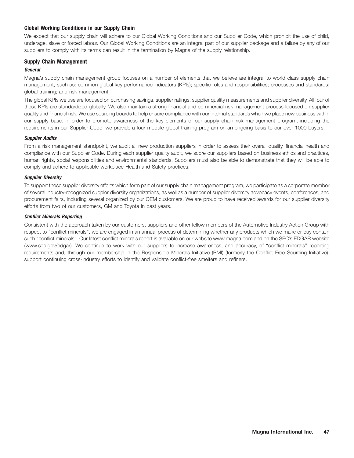### **Global Working Conditions in our Supply Chain**

We expect that our supply chain will adhere to our Global Working Conditions and our Supplier Code, which prohibit the use of child, underage, slave or forced labour. Our Global Working Conditions are an integral part of our supplier package and a failure by any of our suppliers to comply with its terms can result in the termination by Magna of the supply relationship.

## **Supply Chain Management**

### *General*

Magna's supply chain management group focuses on a number of elements that we believe are integral to world class supply chain management, such as: common global key performance indicators (KPIs); specific roles and responsibilities; processes and standards; global training; and risk management.

The global KPIs we use are focused on purchasing savings, supplier ratings, supplier quality measurements and supplier diversity. All four of these KPIs are standardized globally. We also maintain a strong financial and commercial risk management process focused on supplier quality and financial risk. We use sourcing boards to help ensure compliance with our internal standards when we place new business within our supply base. In order to promote awareness of the key elements of our supply chain risk management program, including the requirements in our Supplier Code, we provide a four-module global training program on an ongoing basis to our over 1000 buyers.

#### *Supplier Audits*

From a risk management standpoint, we audit all new production suppliers in order to assess their overall quality, financial health and compliance with our Supplier Code. During each supplier quality audit, we score our suppliers based on business ethics and practices, human rights, social responsibilities and environmental standards. Suppliers must also be able to demonstrate that they will be able to comply and adhere to applicable workplace Health and Safety practices.

#### *Supplier Diversity*

To support those supplier diversity efforts which form part of our supply chain management program, we participate as a corporate member of several industry-recognized suppler diversity organizations, as well as a number of supplier diversity advocacy events, conferences, and procurement fairs, including several organized by our OEM customers. We are proud to have received awards for our supplier diversity efforts from two of our customers, GM and Toyota in past years.

#### *Conflict Minerals Reporting*

Consistent with the approach taken by our customers, suppliers and other fellow members of the Automotive Industry Action Group with respect to ''conflict minerals'', we are engaged in an annual process of determining whether any products which we make or buy contain such ''conflict minerals''. Our latest conflict minerals report is available on our website www.magna.com and on the SEC's EDGAR website (www.sec.gov/edgar). We continue to work with our suppliers to increase awareness, and accuracy, of ''conflict minerals'' reporting requirements and, through our membership in the Responsible Minerals Initiative (RMI) (formerly the Conflict Free Sourcing Initiative), support continuing cross-industry efforts to identify and validate conflict-free smelters and refiners.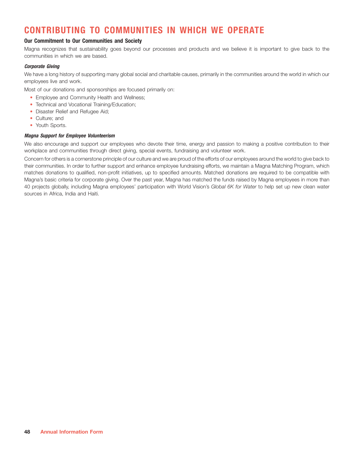## **CONTRIBUTING TO COMMUNITIES IN WHICH WE OPERATE**

### **Our Commitment to Our Communities and Society**

Magna recognizes that sustainability goes beyond our processes and products and we believe it is important to give back to the communities in which we are based.

### *Corporate Giving*

We have a long history of supporting many global social and charitable causes, primarily in the communities around the world in which our employees live and work.

Most of our donations and sponsorships are focused primarily on:

- Employee and Community Health and Wellness;
- Technical and Vocational Training/Education;
- Disaster Relief and Refugee Aid;
- Culture; and
- Youth Sports.

#### *Magna Support for Employee Volunteerism*

We also encourage and support our employees who devote their time, energy and passion to making a positive contribution to their workplace and communities through direct giving, special events, fundraising and volunteer work.

Concern for others is a cornerstone principle of our culture and we are proud of the efforts of our employees around the world to give back to their communities. In order to further support and enhance employee fundraising efforts, we maintain a Magna Matching Program, which matches donations to qualified, non-profit initiatives, up to specified amounts. Matched donations are required to be compatible with Magna's basic criteria for corporate giving. Over the past year, Magna has matched the funds raised by Magna employees in more than 40 projects globally, including Magna employees' participation with World Vision's *Global 6K for Water* to help set up new clean water sources in Africa, India and Haiti.